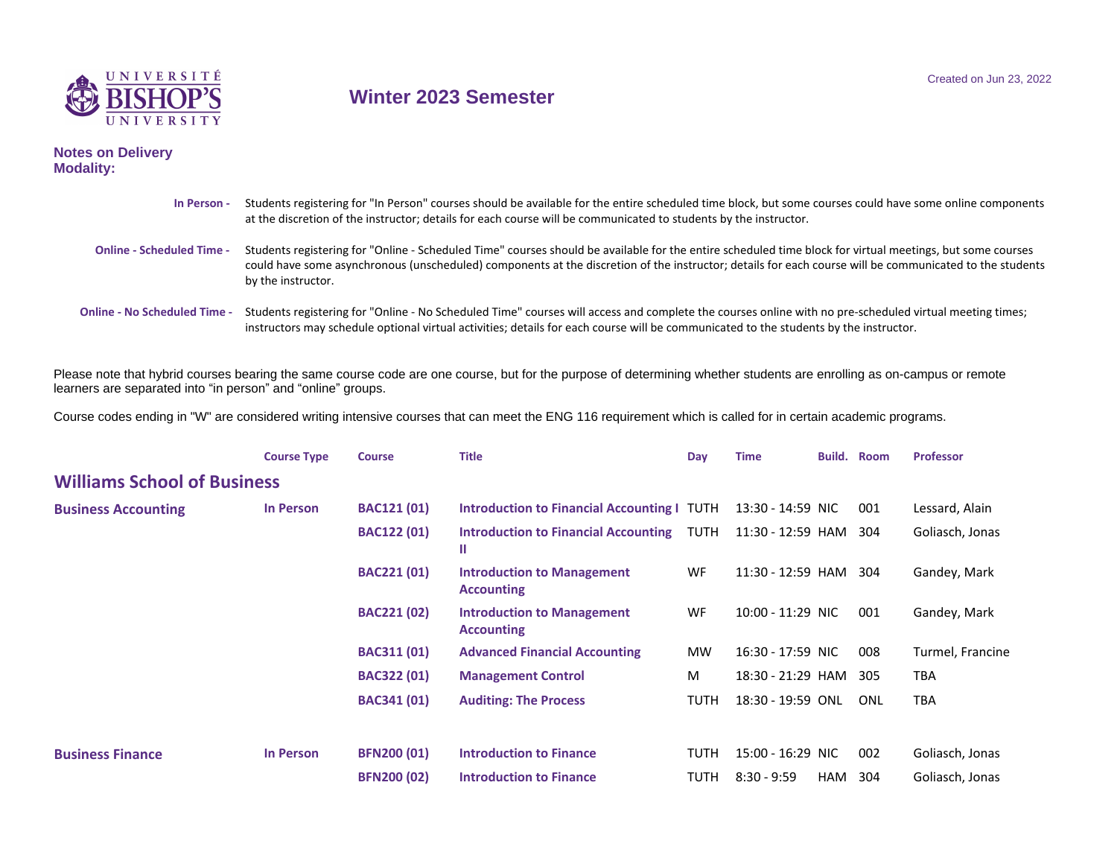

## **Winter 2023 Semester**

## **Notes on Delivery Modality:**

| In Person -                         | Students registering for "In Person" courses should be available for the entire scheduled time block, but some courses could have some online components<br>at the discretion of the instructor; details for each course will be communicated to students by the instructor.                                                               |
|-------------------------------------|--------------------------------------------------------------------------------------------------------------------------------------------------------------------------------------------------------------------------------------------------------------------------------------------------------------------------------------------|
| <b>Online - Scheduled Time -</b>    | Students registering for "Online - Scheduled Time" courses should be available for the entire scheduled time block for virtual meetings, but some courses<br>could have some asynchronous (unscheduled) components at the discretion of the instructor; details for each course will be communicated to the students<br>by the instructor. |
| <b>Online - No Scheduled Time -</b> | Students registering for "Online - No Scheduled Time" courses will access and complete the courses online with no pre-scheduled virtual meeting times;<br>instructors may schedule optional virtual activities; details for each course will be communicated to the students by the instructor.                                            |

Please note that hybrid courses bearing the same course code are one course, but for the purpose of determining whether students are enrolling as on-campus or remote learners are separated into "in person" and "online" groups.

Course codes ending in "W" are considered writing intensive courses that can meet the ENG 116 requirement which is called for in certain academic programs.

|                                    | <b>Course Type</b> | <b>Course</b>      | <b>Title</b>                                           | Day         | <b>Time</b>       | Build.     | <b>Room</b> | <b>Professor</b> |
|------------------------------------|--------------------|--------------------|--------------------------------------------------------|-------------|-------------------|------------|-------------|------------------|
| <b>Williams School of Business</b> |                    |                    |                                                        |             |                   |            |             |                  |
| <b>Business Accounting</b>         | <b>In Person</b>   | <b>BAC121 (01)</b> | <b>Introduction to Financial Accounting I TUTH</b>     |             | 13:30 - 14:59 NIC |            | 001         | Lessard, Alain   |
|                                    |                    | <b>BAC122 (01)</b> | <b>Introduction to Financial Accounting</b><br>Ш       | TUTH        | 11:30 - 12:59 HAM |            | 304         | Goliasch, Jonas  |
|                                    |                    | <b>BAC221 (01)</b> | <b>Introduction to Management</b><br><b>Accounting</b> | WF          | 11:30 - 12:59 HAM |            | 304         | Gandey, Mark     |
|                                    |                    | <b>BAC221 (02)</b> | <b>Introduction to Management</b><br><b>Accounting</b> | WF          | 10:00 - 11:29 NIC |            | 001         | Gandey, Mark     |
|                                    |                    | <b>BAC311 (01)</b> | <b>Advanced Financial Accounting</b>                   | <b>MW</b>   | 16:30 - 17:59 NIC |            | 008         | Turmel, Francine |
|                                    |                    | <b>BAC322 (01)</b> | <b>Management Control</b>                              | M           | 18:30 - 21:29 HAM |            | 305         | <b>TBA</b>       |
|                                    |                    | <b>BAC341 (01)</b> | <b>Auditing: The Process</b>                           | <b>TUTH</b> | 18:30 - 19:59 ONL |            | ONL         | <b>TBA</b>       |
| <b>Business Finance</b>            | <b>In Person</b>   | <b>BFN200 (01)</b> | <b>Introduction to Finance</b>                         | <b>TUTH</b> | 15:00 - 16:29 NIC |            | 002         | Goliasch, Jonas  |
|                                    |                    | <b>BFN200 (02)</b> | <b>Introduction to Finance</b>                         | <b>TUTH</b> | $8:30 - 9:59$     | <b>HAM</b> | 304         | Goliasch, Jonas  |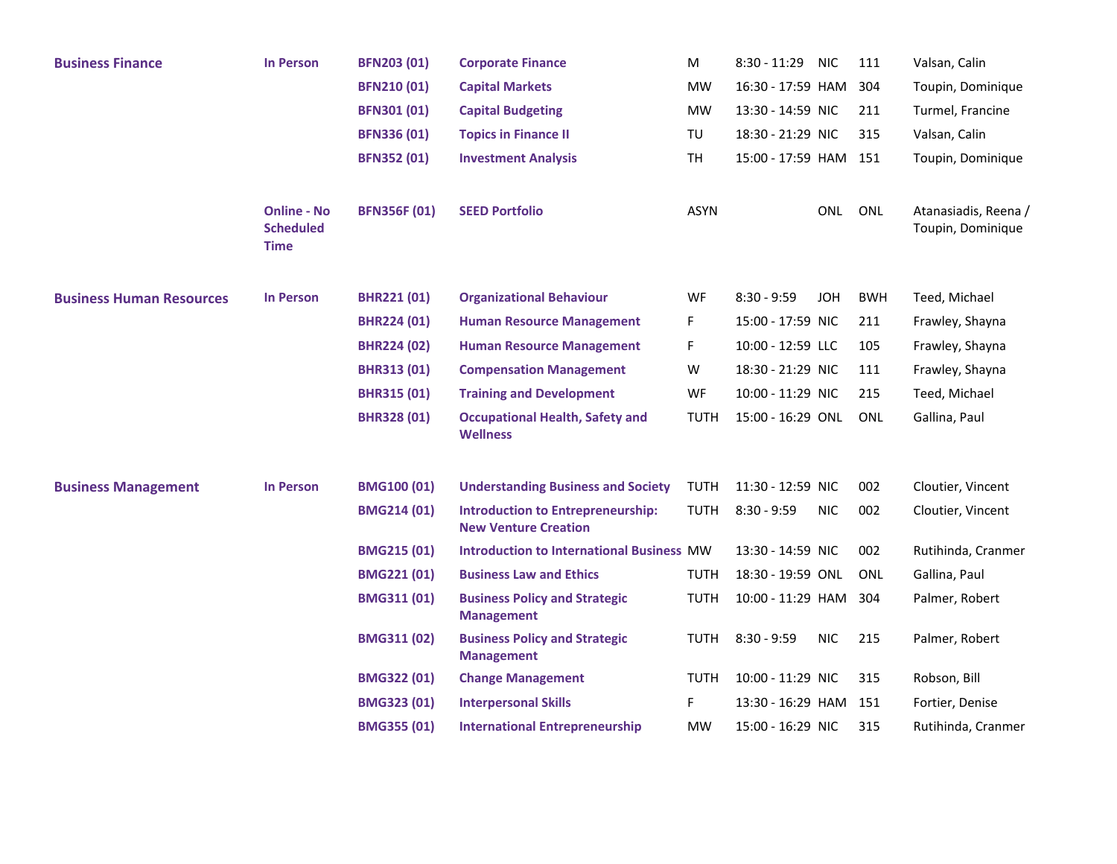| <b>Business Finance</b>         | <b>In Person</b>                                      | <b>BFN203 (01)</b>  | <b>Corporate Finance</b>                                                | М           | $8:30 - 11:29$        | <b>NIC</b> | 111        | Valsan, Calin                             |
|---------------------------------|-------------------------------------------------------|---------------------|-------------------------------------------------------------------------|-------------|-----------------------|------------|------------|-------------------------------------------|
|                                 |                                                       | <b>BFN210 (01)</b>  | <b>Capital Markets</b>                                                  | <b>MW</b>   | 16:30 - 17:59 HAM     |            | 304        | Toupin, Dominique                         |
|                                 |                                                       | <b>BFN301 (01)</b>  | <b>Capital Budgeting</b>                                                | <b>MW</b>   | 13:30 - 14:59 NIC     |            | 211        | Turmel, Francine                          |
|                                 |                                                       | <b>BFN336 (01)</b>  | <b>Topics in Finance II</b>                                             | TU          | 18:30 - 21:29 NIC     |            | 315        | Valsan, Calin                             |
|                                 |                                                       | <b>BFN352 (01)</b>  | <b>Investment Analysis</b>                                              | TH          | 15:00 - 17:59 HAM 151 |            |            | Toupin, Dominique                         |
|                                 | <b>Online - No</b><br><b>Scheduled</b><br><b>Time</b> | <b>BFN356F (01)</b> | <b>SEED Portfolio</b>                                                   | <b>ASYN</b> |                       | ONL        | ONL        | Atanasiadis, Reena /<br>Toupin, Dominique |
| <b>Business Human Resources</b> | <b>In Person</b>                                      | <b>BHR221 (01)</b>  | <b>Organizational Behaviour</b>                                         | WF          | $8:30 - 9:59$         | <b>JOH</b> | <b>BWH</b> | Teed, Michael                             |
|                                 |                                                       | <b>BHR224 (01)</b>  | <b>Human Resource Management</b>                                        | F           | 15:00 - 17:59 NIC     |            | 211        | Frawley, Shayna                           |
|                                 |                                                       | <b>BHR224 (02)</b>  | <b>Human Resource Management</b>                                        | F           | 10:00 - 12:59 LLC     |            | 105        | Frawley, Shayna                           |
|                                 |                                                       | <b>BHR313 (01)</b>  | <b>Compensation Management</b>                                          | W           | 18:30 - 21:29 NIC     |            | 111        | Frawley, Shayna                           |
|                                 |                                                       | <b>BHR315 (01)</b>  | <b>Training and Development</b>                                         | WF          | 10:00 - 11:29 NIC     |            | 215        | Teed, Michael                             |
|                                 |                                                       | <b>BHR328 (01)</b>  | <b>Occupational Health, Safety and</b><br><b>Wellness</b>               | TUTH        | 15:00 - 16:29 ONL     |            | <b>ONL</b> | Gallina, Paul                             |
| <b>Business Management</b>      | <b>In Person</b>                                      | <b>BMG100 (01)</b>  | <b>Understanding Business and Society</b>                               | <b>TUTH</b> | 11:30 - 12:59 NIC     |            | 002        | Cloutier, Vincent                         |
|                                 |                                                       | <b>BMG214 (01)</b>  | <b>Introduction to Entrepreneurship:</b><br><b>New Venture Creation</b> | <b>TUTH</b> | $8:30 - 9:59$         | <b>NIC</b> | 002        | Cloutier, Vincent                         |
|                                 |                                                       | <b>BMG215 (01)</b>  | <b>Introduction to International Business MW</b>                        |             | 13:30 - 14:59 NIC     |            | 002        | Rutihinda, Cranmer                        |
|                                 |                                                       | <b>BMG221 (01)</b>  | <b>Business Law and Ethics</b>                                          | TUTH        | 18:30 - 19:59 ONL     |            | <b>ONL</b> | Gallina, Paul                             |
|                                 |                                                       | <b>BMG311 (01)</b>  | <b>Business Policy and Strategic</b><br><b>Management</b>               | <b>TUTH</b> | 10:00 - 11:29 HAM     |            | 304        | Palmer, Robert                            |
|                                 |                                                       | <b>BMG311 (02)</b>  | <b>Business Policy and Strategic</b><br><b>Management</b>               | <b>TUTH</b> | $8:30 - 9:59$         | <b>NIC</b> | 215        | Palmer, Robert                            |
|                                 |                                                       | <b>BMG322 (01)</b>  | <b>Change Management</b>                                                | <b>TUTH</b> | 10:00 - 11:29 NIC     |            | 315        | Robson, Bill                              |
|                                 |                                                       | <b>BMG323 (01)</b>  | <b>Interpersonal Skills</b>                                             | F           | 13:30 - 16:29 HAM     |            | 151        | Fortier, Denise                           |
|                                 |                                                       | <b>BMG355 (01)</b>  | <b>International Entrepreneurship</b>                                   | MW          | 15:00 - 16:29 NIC     |            | 315        | Rutihinda, Cranmer                        |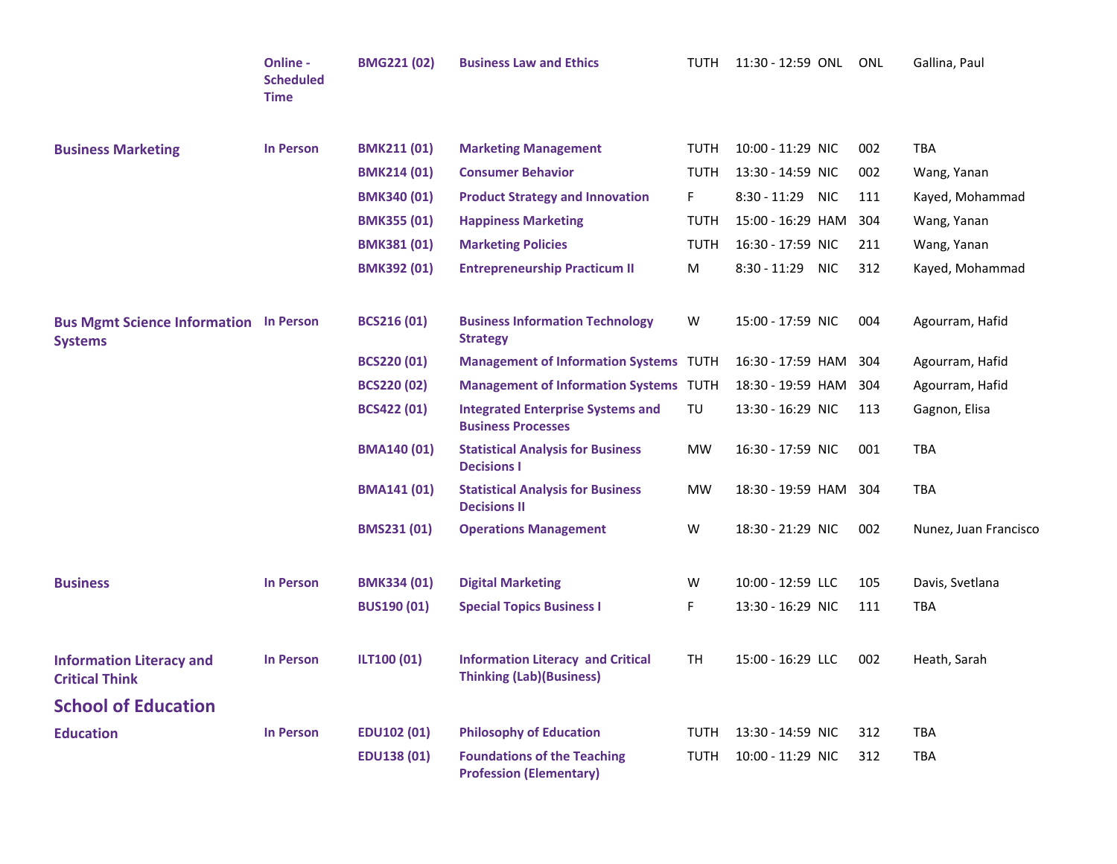|                                                                 | Online -<br><b>Scheduled</b><br><b>Time</b> | <b>BMG221 (02)</b> | <b>Business Law and Ethics</b>                                               | TUTH        | 11:30 - 12:59 ONL ONL |     | Gallina, Paul         |
|-----------------------------------------------------------------|---------------------------------------------|--------------------|------------------------------------------------------------------------------|-------------|-----------------------|-----|-----------------------|
| <b>Business Marketing</b>                                       | <b>In Person</b>                            | <b>BMK211 (01)</b> | <b>Marketing Management</b>                                                  | TUTH        | 10:00 - 11:29 NIC     | 002 | <b>TBA</b>            |
|                                                                 |                                             | <b>BMK214 (01)</b> | <b>Consumer Behavior</b>                                                     | <b>TUTH</b> | 13:30 - 14:59 NIC     | 002 | Wang, Yanan           |
|                                                                 |                                             | <b>BMK340 (01)</b> | <b>Product Strategy and Innovation</b>                                       | F.          | 8:30 - 11:29 NIC      | 111 | Kayed, Mohammad       |
|                                                                 |                                             | <b>BMK355 (01)</b> | <b>Happiness Marketing</b>                                                   | TUTH        | 15:00 - 16:29 HAM     | 304 | Wang, Yanan           |
|                                                                 |                                             | <b>BMK381 (01)</b> | <b>Marketing Policies</b>                                                    | <b>TUTH</b> | 16:30 - 17:59 NIC     | 211 | Wang, Yanan           |
|                                                                 |                                             | <b>BMK392 (01)</b> | <b>Entrepreneurship Practicum II</b>                                         | M           | 8:30 - 11:29 NIC      | 312 | Kayed, Mohammad       |
| <b>Bus Mgmt Science Information In Person</b><br><b>Systems</b> |                                             | <b>BCS216 (01)</b> | <b>Business Information Technology</b><br><b>Strategy</b>                    | W           | 15:00 - 17:59 NIC     | 004 | Agourram, Hafid       |
|                                                                 |                                             | <b>BCS220 (01)</b> | <b>Management of Information Systems TUTH</b>                                |             | 16:30 - 17:59 HAM     | 304 | Agourram, Hafid       |
|                                                                 |                                             | <b>BCS220 (02)</b> | <b>Management of Information Systems TUTH</b>                                |             | 18:30 - 19:59 HAM     | 304 | Agourram, Hafid       |
|                                                                 |                                             | <b>BCS422 (01)</b> | <b>Integrated Enterprise Systems and</b><br><b>Business Processes</b>        | TU          | 13:30 - 16:29 NIC     | 113 | Gagnon, Elisa         |
|                                                                 |                                             | <b>BMA140 (01)</b> | <b>Statistical Analysis for Business</b><br><b>Decisions I</b>               | MW          | 16:30 - 17:59 NIC     | 001 | <b>TBA</b>            |
|                                                                 |                                             | <b>BMA141 (01)</b> | <b>Statistical Analysis for Business</b><br><b>Decisions II</b>              | MW          | 18:30 - 19:59 HAM 304 |     | <b>TBA</b>            |
|                                                                 |                                             | <b>BMS231 (01)</b> | <b>Operations Management</b>                                                 | W           | 18:30 - 21:29 NIC     | 002 | Nunez, Juan Francisco |
| <b>Business</b>                                                 | <b>In Person</b>                            | <b>BMK334 (01)</b> | <b>Digital Marketing</b>                                                     | W           | 10:00 - 12:59 LLC     | 105 | Davis, Svetlana       |
|                                                                 |                                             | <b>BUS190 (01)</b> | <b>Special Topics Business I</b>                                             | F           | 13:30 - 16:29 NIC     | 111 | TBA                   |
| <b>Information Literacy and</b><br><b>Critical Think</b>        | <b>In Person</b>                            | ILT100 (01)        | <b>Information Literacy and Critical</b><br><b>Thinking (Lab) (Business)</b> | TH.         | 15:00 - 16:29 LLC     | 002 | Heath, Sarah          |
| <b>School of Education</b>                                      |                                             |                    |                                                                              |             |                       |     |                       |
| <b>Education</b>                                                | <b>In Person</b>                            | <b>EDU102 (01)</b> | <b>Philosophy of Education</b>                                               | <b>TUTH</b> | 13:30 - 14:59 NIC     | 312 | <b>TBA</b>            |
|                                                                 |                                             | <b>EDU138 (01)</b> | <b>Foundations of the Teaching</b><br><b>Profession (Elementary)</b>         | <b>TUTH</b> | 10:00 - 11:29 NIC     | 312 | <b>TBA</b>            |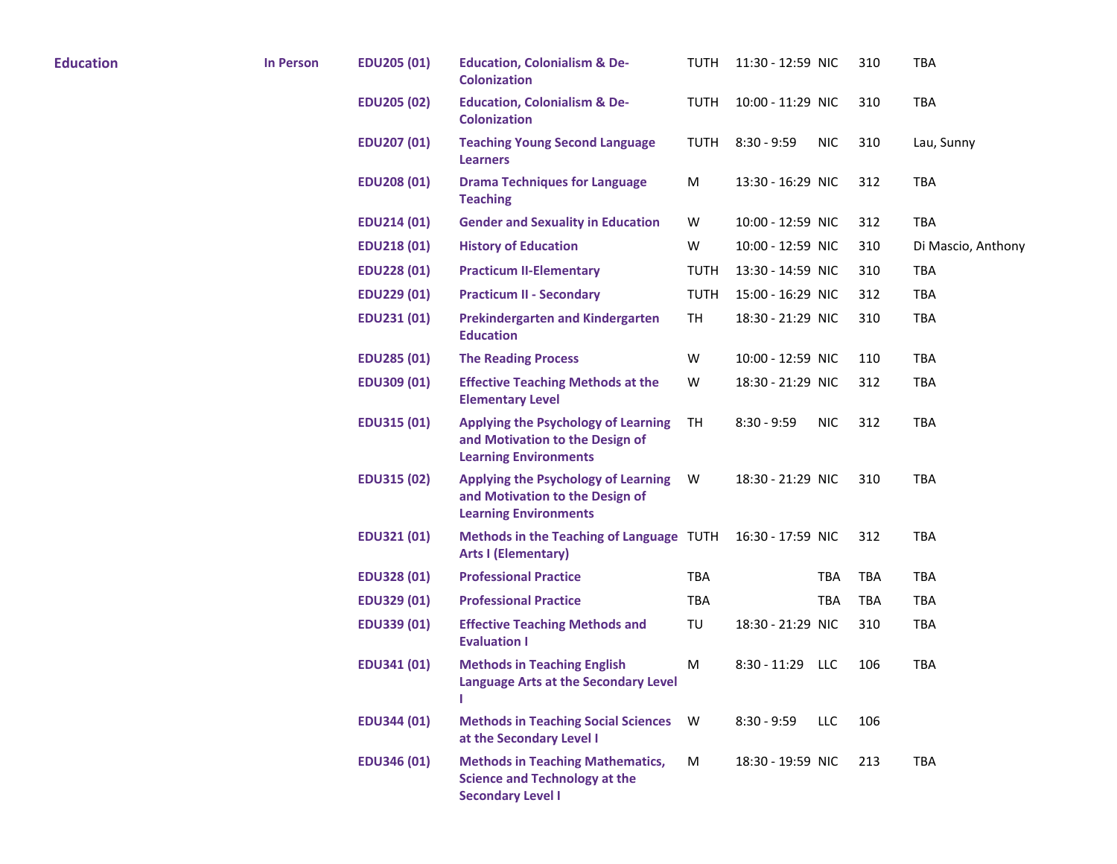| <b>Education</b> | <b>In Person</b> | <b>EDU205 (01)</b> | <b>Education, Colonialism &amp; De-</b><br><b>Colonization</b>                                                | TUTH        | 11:30 - 12:59 NIC |            | 310 | <b>TBA</b>         |
|------------------|------------------|--------------------|---------------------------------------------------------------------------------------------------------------|-------------|-------------------|------------|-----|--------------------|
|                  |                  | <b>EDU205 (02)</b> | <b>Education, Colonialism &amp; De-</b><br><b>Colonization</b>                                                | TUTH        | 10:00 - 11:29 NIC |            | 310 | <b>TBA</b>         |
|                  |                  | <b>EDU207 (01)</b> | <b>Teaching Young Second Language</b><br><b>Learners</b>                                                      | TUTH        | $8:30 - 9:59$     | <b>NIC</b> | 310 | Lau, Sunny         |
|                  |                  | <b>EDU208 (01)</b> | <b>Drama Techniques for Language</b><br><b>Teaching</b>                                                       | M           | 13:30 - 16:29 NIC |            | 312 | TBA                |
|                  |                  | <b>EDU214 (01)</b> | <b>Gender and Sexuality in Education</b>                                                                      | W           | 10:00 - 12:59 NIC |            | 312 | <b>TBA</b>         |
|                  |                  | <b>EDU218 (01)</b> | <b>History of Education</b>                                                                                   | W           | 10:00 - 12:59 NIC |            | 310 | Di Mascio, Anthony |
|                  |                  | <b>EDU228 (01)</b> | <b>Practicum II-Elementary</b>                                                                                | <b>TUTH</b> | 13:30 - 14:59 NIC |            | 310 | <b>TBA</b>         |
|                  |                  | <b>EDU229 (01)</b> | <b>Practicum II - Secondary</b>                                                                               | <b>TUTH</b> | 15:00 - 16:29 NIC |            | 312 | <b>TBA</b>         |
|                  |                  | <b>EDU231 (01)</b> | <b>Prekindergarten and Kindergarten</b><br><b>Education</b>                                                   | TH          | 18:30 - 21:29 NIC |            | 310 | <b>TBA</b>         |
|                  |                  | <b>EDU285 (01)</b> | <b>The Reading Process</b>                                                                                    | W           | 10:00 - 12:59 NIC |            | 110 | TBA                |
|                  |                  | <b>EDU309 (01)</b> | <b>Effective Teaching Methods at the</b><br><b>Elementary Level</b>                                           | W           | 18:30 - 21:29 NIC |            | 312 | TBA                |
|                  |                  | <b>EDU315 (01)</b> | <b>Applying the Psychology of Learning</b><br>and Motivation to the Design of<br><b>Learning Environments</b> | TH          | $8:30 - 9:59$     | <b>NIC</b> | 312 | <b>TBA</b>         |
|                  |                  | <b>EDU315 (02)</b> | <b>Applying the Psychology of Learning</b><br>and Motivation to the Design of<br><b>Learning Environments</b> | W           | 18:30 - 21:29 NIC |            | 310 | <b>TBA</b>         |
|                  |                  | <b>EDU321 (01)</b> | Methods in the Teaching of Language TUTH 16:30 - 17:59 NIC<br><b>Arts I (Elementary)</b>                      |             |                   |            | 312 | <b>TBA</b>         |
|                  |                  | <b>EDU328 (01)</b> | <b>Professional Practice</b>                                                                                  | <b>TBA</b>  |                   | <b>TBA</b> | TBA | <b>TBA</b>         |
|                  |                  | <b>EDU329 (01)</b> | <b>Professional Practice</b>                                                                                  | <b>TBA</b>  |                   | TBA        | TBA | <b>TBA</b>         |
|                  |                  | <b>EDU339 (01)</b> | <b>Effective Teaching Methods and</b><br><b>Evaluation I</b>                                                  | TU          | 18:30 - 21:29 NIC |            | 310 | <b>TBA</b>         |
|                  |                  | <b>EDU341 (01)</b> | <b>Methods in Teaching English</b><br>Language Arts at the Secondary Level<br>п                               | M           | $8:30 - 11:29$    | <b>LLC</b> | 106 | <b>TBA</b>         |
|                  |                  | <b>EDU344 (01)</b> | <b>Methods in Teaching Social Sciences</b><br>at the Secondary Level I                                        | W           | $8:30 - 9:59$     | LLC        | 106 |                    |
|                  |                  | <b>EDU346 (01)</b> | <b>Methods in Teaching Mathematics,</b><br><b>Science and Technology at the</b><br><b>Secondary Level I</b>   | M           | 18:30 - 19:59 NIC |            | 213 | <b>TBA</b>         |
|                  |                  |                    |                                                                                                               |             |                   |            |     |                    |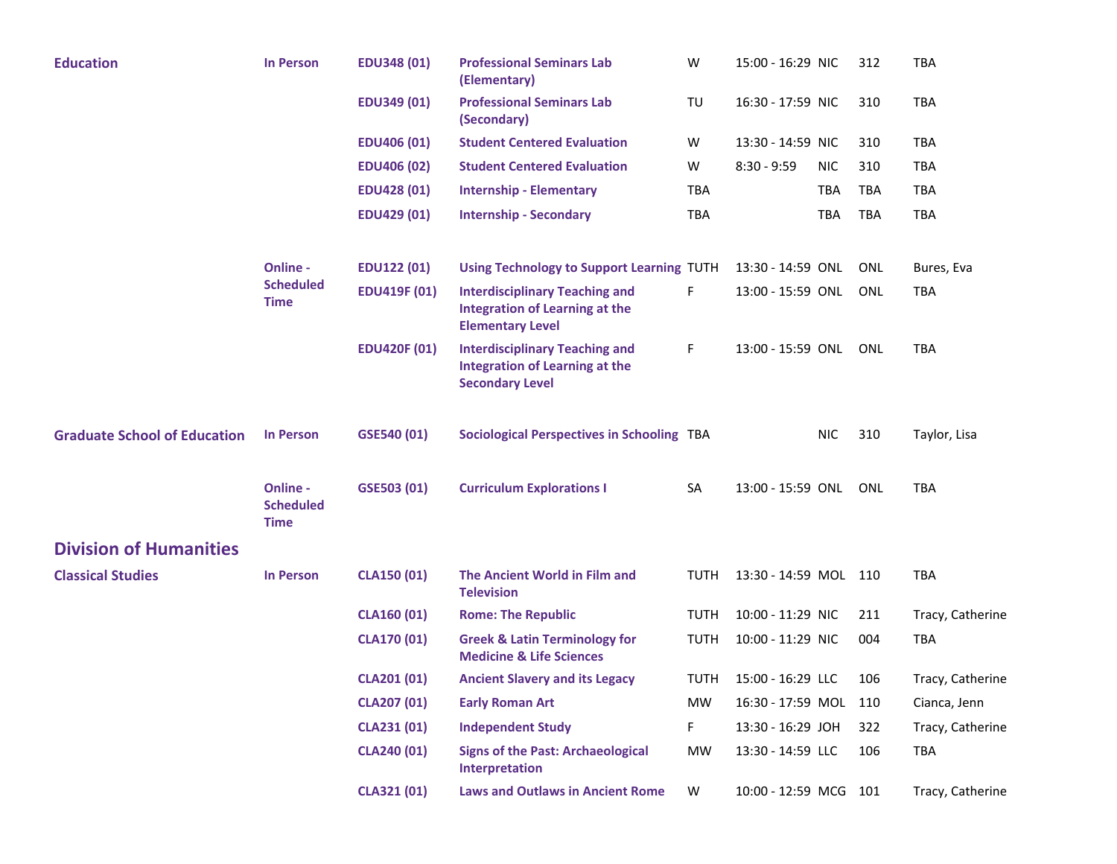| <b>Education</b>                    | <b>In Person</b>                            | <b>EDU348 (01)</b>  | <b>Professional Seminars Lab</b><br>(Elementary)                                                          | W           | 15:00 - 16:29 NIC     |            | 312        | TBA              |
|-------------------------------------|---------------------------------------------|---------------------|-----------------------------------------------------------------------------------------------------------|-------------|-----------------------|------------|------------|------------------|
|                                     |                                             | <b>EDU349 (01)</b>  | <b>Professional Seminars Lab</b><br>(Secondary)                                                           | TU          | 16:30 - 17:59 NIC     |            | 310        | <b>TBA</b>       |
|                                     |                                             | <b>EDU406 (01)</b>  | <b>Student Centered Evaluation</b>                                                                        | W           | 13:30 - 14:59 NIC     |            | 310        | <b>TBA</b>       |
|                                     |                                             | <b>EDU406 (02)</b>  | <b>Student Centered Evaluation</b>                                                                        | W           | $8:30 - 9:59$         | <b>NIC</b> | 310        | <b>TBA</b>       |
|                                     |                                             | <b>EDU428 (01)</b>  | <b>Internship - Elementary</b>                                                                            | <b>TBA</b>  |                       | TBA        | TBA        | <b>TBA</b>       |
|                                     |                                             | <b>EDU429 (01)</b>  | <b>Internship - Secondary</b>                                                                             | <b>TBA</b>  |                       | <b>TBA</b> | TBA        | <b>TBA</b>       |
|                                     | Online -                                    | <b>EDU122 (01)</b>  | <b>Using Technology to Support Learning TUTH</b>                                                          |             | 13:30 - 14:59 ONL     |            | <b>ONL</b> | Bures, Eva       |
|                                     | <b>Scheduled</b><br><b>Time</b>             | <b>EDU419F (01)</b> | <b>Interdisciplinary Teaching and</b><br><b>Integration of Learning at the</b><br><b>Elementary Level</b> | F.          | 13:00 - 15:59 ONL     |            | <b>ONL</b> | <b>TBA</b>       |
|                                     |                                             | <b>EDU420F (01)</b> | <b>Interdisciplinary Teaching and</b><br><b>Integration of Learning at the</b><br><b>Secondary Level</b>  | F.          | 13:00 - 15:59 ONL     |            | ONL        | <b>TBA</b>       |
| <b>Graduate School of Education</b> | <b>In Person</b>                            | GSE540 (01)         | <b>Sociological Perspectives in Schooling TBA</b>                                                         |             |                       | <b>NIC</b> | 310        | Taylor, Lisa     |
|                                     | Online -<br><b>Scheduled</b><br><b>Time</b> | GSE503 (01)         | <b>Curriculum Explorations I</b>                                                                          | SA          | 13:00 - 15:59 ONL     |            | ONL        | <b>TBA</b>       |
| <b>Division of Humanities</b>       |                                             |                     |                                                                                                           |             |                       |            |            |                  |
| <b>Classical Studies</b>            | <b>In Person</b>                            | <b>CLA150 (01)</b>  | The Ancient World in Film and<br><b>Television</b>                                                        | <b>TUTH</b> | 13:30 - 14:59 MOL 110 |            |            | <b>TBA</b>       |
|                                     |                                             | <b>CLA160 (01)</b>  | <b>Rome: The Republic</b>                                                                                 | <b>TUTH</b> | 10:00 - 11:29 NIC     |            | 211        | Tracy, Catherine |
|                                     |                                             | <b>CLA170 (01)</b>  | <b>Greek &amp; Latin Terminology for</b><br><b>Medicine &amp; Life Sciences</b>                           | <b>TUTH</b> | 10:00 - 11:29 NIC     |            | 004        | <b>TBA</b>       |
|                                     |                                             | CLA201 (01)         | <b>Ancient Slavery and its Legacy</b>                                                                     | TUTH        | 15:00 - 16:29 LLC     |            | 106        | Tracy, Catherine |
|                                     |                                             | <b>CLA207 (01)</b>  | <b>Early Roman Art</b>                                                                                    | MW          | 16:30 - 17:59 MOL 110 |            |            | Cianca, Jenn     |
|                                     |                                             | <b>CLA231 (01)</b>  | <b>Independent Study</b>                                                                                  | F.          | 13:30 - 16:29 JOH     |            | 322        | Tracy, Catherine |
|                                     |                                             | <b>CLA240 (01)</b>  | <b>Signs of the Past: Archaeological</b><br>Interpretation                                                | MW          | 13:30 - 14:59 LLC     |            | 106        | TBA              |
|                                     |                                             | CLA321 (01)         | <b>Laws and Outlaws in Ancient Rome</b>                                                                   | W           | 10:00 - 12:59 MCG 101 |            |            | Tracy, Catherine |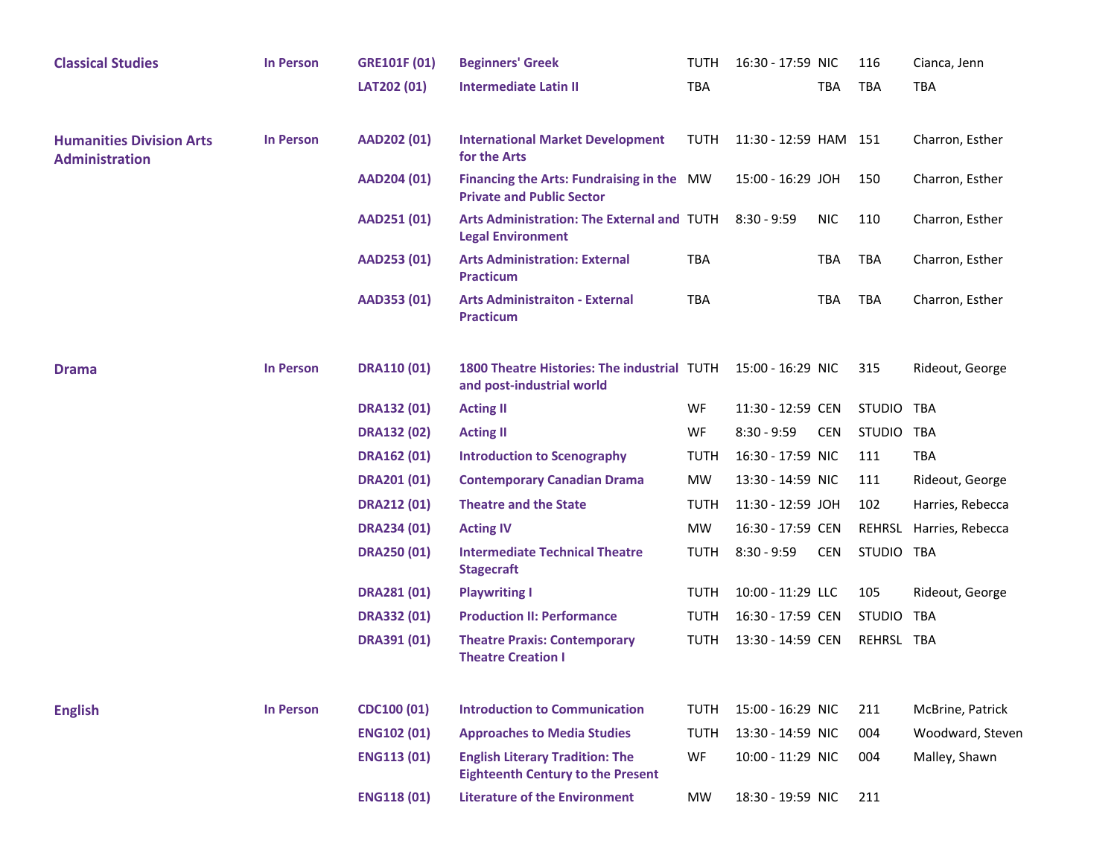| <b>Classical Studies</b>                                 | <b>In Person</b> | <b>GRE101F (01)</b> | <b>Beginners' Greek</b>                                                            | TUTH        | 16:30 - 17:59 NIC     |            | 116           | Cianca, Jenn     |
|----------------------------------------------------------|------------------|---------------------|------------------------------------------------------------------------------------|-------------|-----------------------|------------|---------------|------------------|
|                                                          |                  | LAT202 (01)         | <b>Intermediate Latin II</b>                                                       | <b>TBA</b>  |                       | <b>TBA</b> | TBA           | <b>TBA</b>       |
| <b>Humanities Division Arts</b><br><b>Administration</b> | <b>In Person</b> | AAD202 (01)         | <b>International Market Development</b><br>for the Arts                            | TUTH        | 11:30 - 12:59 HAM 151 |            |               | Charron, Esther  |
|                                                          |                  | AAD204 (01)         | Financing the Arts: Fundraising in the MW<br><b>Private and Public Sector</b>      |             | 15:00 - 16:29 JOH     |            | 150           | Charron, Esther  |
|                                                          |                  | AAD251 (01)         | Arts Administration: The External and TUTH 8:30 - 9:59<br><b>Legal Environment</b> |             |                       | <b>NIC</b> | 110           | Charron, Esther  |
|                                                          |                  | AAD253 (01)         | <b>Arts Administration: External</b><br><b>Practicum</b>                           | <b>TBA</b>  |                       | <b>TBA</b> | <b>TBA</b>    | Charron, Esther  |
|                                                          |                  | AAD353 (01)         | <b>Arts Administraiton - External</b><br><b>Practicum</b>                          | <b>TBA</b>  |                       | <b>TBA</b> | TBA           | Charron, Esther  |
| <b>Drama</b>                                             | <b>In Person</b> | <b>DRA110 (01)</b>  | 1800 Theatre Histories: The industrial TUTH<br>and post-industrial world           |             | 15:00 - 16:29 NIC     |            | 315           | Rideout, George  |
|                                                          |                  | <b>DRA132 (01)</b>  | <b>Acting II</b>                                                                   | WF          | 11:30 - 12:59 CEN     |            | <b>STUDIO</b> | TBA              |
|                                                          |                  | <b>DRA132 (02)</b>  | <b>Acting II</b>                                                                   | WF          | $8:30 - 9:59$         | <b>CEN</b> | STUDIO TBA    |                  |
|                                                          |                  | <b>DRA162 (01)</b>  | <b>Introduction to Scenography</b>                                                 | <b>TUTH</b> | 16:30 - 17:59 NIC     |            | 111           | <b>TBA</b>       |
|                                                          |                  | <b>DRA201 (01)</b>  | <b>Contemporary Canadian Drama</b>                                                 | <b>MW</b>   | 13:30 - 14:59 NIC     |            | 111           | Rideout, George  |
|                                                          |                  | <b>DRA212 (01)</b>  | <b>Theatre and the State</b>                                                       | <b>TUTH</b> | 11:30 - 12:59 JOH     |            | 102           | Harries, Rebecca |
|                                                          |                  | <b>DRA234 (01)</b>  | <b>Acting IV</b>                                                                   | <b>MW</b>   | 16:30 - 17:59 CEN     |            | REHRSL        | Harries, Rebecca |
|                                                          |                  | <b>DRA250 (01)</b>  | <b>Intermediate Technical Theatre</b><br><b>Stagecraft</b>                         | <b>TUTH</b> | $8:30 - 9:59$         | <b>CEN</b> | STUDIO TBA    |                  |
|                                                          |                  | <b>DRA281 (01)</b>  | <b>Playwriting I</b>                                                               | <b>TUTH</b> | 10:00 - 11:29 LLC     |            | 105           | Rideout, George  |
|                                                          |                  | <b>DRA332 (01)</b>  | <b>Production II: Performance</b>                                                  | <b>TUTH</b> | 16:30 - 17:59 CEN     |            | <b>STUDIO</b> | <b>TBA</b>       |
|                                                          |                  | <b>DRA391 (01)</b>  | <b>Theatre Praxis: Contemporary</b><br><b>Theatre Creation I</b>                   | <b>TUTH</b> | 13:30 - 14:59 CEN     |            | REHRSL TBA    |                  |
| <b>English</b>                                           | <b>In Person</b> | <b>CDC100 (01)</b>  | <b>Introduction to Communication</b>                                               | <b>TUTH</b> | 15:00 - 16:29 NIC     |            | 211           | McBrine, Patrick |
|                                                          |                  | <b>ENG102 (01)</b>  | <b>Approaches to Media Studies</b>                                                 | <b>TUTH</b> | 13:30 - 14:59 NIC     |            | 004           | Woodward, Steven |
|                                                          |                  | <b>ENG113 (01)</b>  | <b>English Literary Tradition: The</b><br><b>Eighteenth Century to the Present</b> | WF          | 10:00 - 11:29 NIC     |            | 004           | Malley, Shawn    |
|                                                          |                  | <b>ENG118 (01)</b>  | <b>Literature of the Environment</b>                                               | MW          | 18:30 - 19:59 NIC     |            | 211           |                  |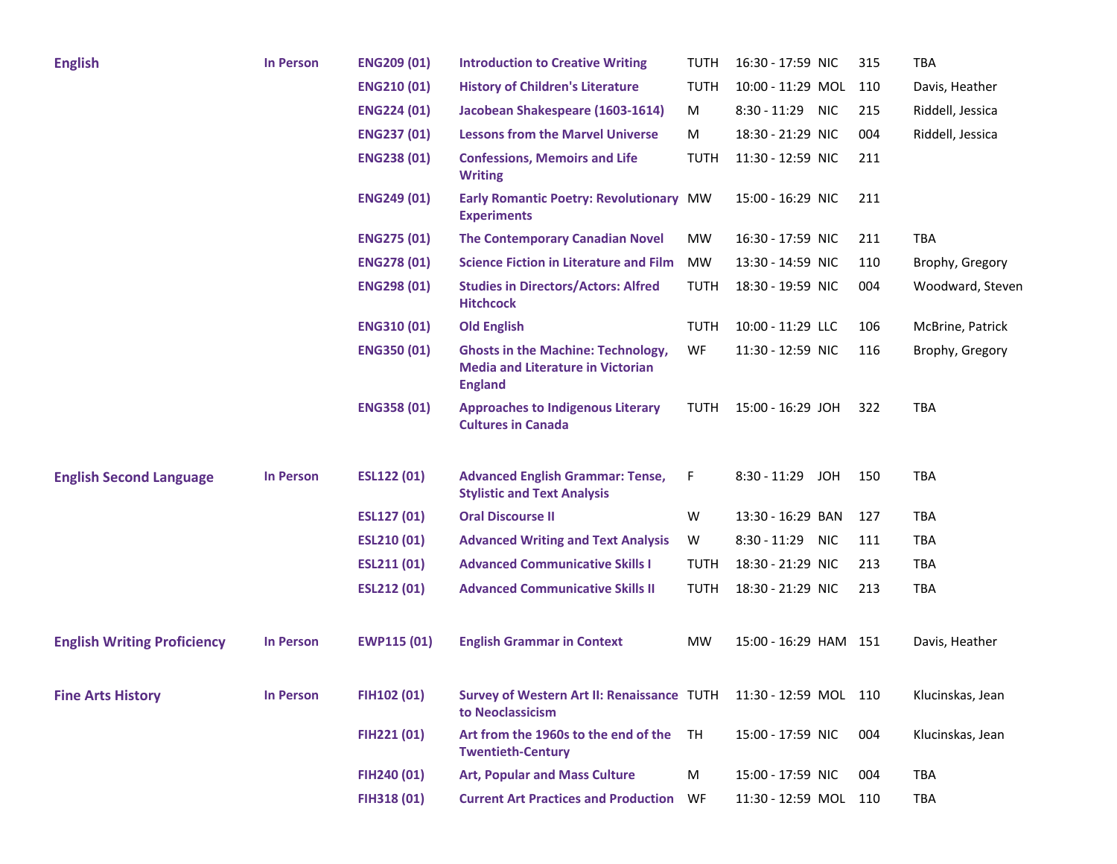| <b>English</b>                     | <b>In Person</b> | <b>ENG209 (01)</b> | <b>Introduction to Creative Writing</b>                                                                 | <b>TUTH</b> | 16:30 - 17:59 NIC            | 315 | <b>TBA</b>       |
|------------------------------------|------------------|--------------------|---------------------------------------------------------------------------------------------------------|-------------|------------------------------|-----|------------------|
|                                    |                  | <b>ENG210 (01)</b> | <b>History of Children's Literature</b>                                                                 | <b>TUTH</b> | 10:00 - 11:29 MOL            | 110 | Davis, Heather   |
|                                    |                  | <b>ENG224 (01)</b> | Jacobean Shakespeare (1603-1614)                                                                        | M           | 8:30 - 11:29 NIC             | 215 | Riddell, Jessica |
|                                    |                  | <b>ENG237 (01)</b> | <b>Lessons from the Marvel Universe</b>                                                                 | М           | 18:30 - 21:29 NIC            | 004 | Riddell, Jessica |
|                                    |                  | <b>ENG238 (01)</b> | <b>Confessions, Memoirs and Life</b><br><b>Writing</b>                                                  | <b>TUTH</b> | 11:30 - 12:59 NIC            | 211 |                  |
|                                    |                  | <b>ENG249 (01)</b> | Early Romantic Poetry: Revolutionary MW<br><b>Experiments</b>                                           |             | 15:00 - 16:29 NIC            | 211 |                  |
|                                    |                  | <b>ENG275 (01)</b> | <b>The Contemporary Canadian Novel</b>                                                                  | MW          | 16:30 - 17:59 NIC            | 211 | <b>TBA</b>       |
|                                    |                  | <b>ENG278 (01)</b> | <b>Science Fiction in Literature and Film</b>                                                           | <b>MW</b>   | 13:30 - 14:59 NIC            | 110 | Brophy, Gregory  |
|                                    |                  | <b>ENG298 (01)</b> | <b>Studies in Directors/Actors: Alfred</b><br><b>Hitchcock</b>                                          | <b>TUTH</b> | 18:30 - 19:59 NIC            | 004 | Woodward, Steven |
|                                    |                  | <b>ENG310 (01)</b> | <b>Old English</b>                                                                                      | <b>TUTH</b> | 10:00 - 11:29 LLC            | 106 | McBrine, Patrick |
|                                    |                  | <b>ENG350 (01)</b> | <b>Ghosts in the Machine: Technology,</b><br><b>Media and Literature in Victorian</b><br><b>England</b> | WF          | 11:30 - 12:59 NIC            | 116 | Brophy, Gregory  |
|                                    |                  | <b>ENG358 (01)</b> | <b>Approaches to Indigenous Literary</b><br><b>Cultures in Canada</b>                                   | <b>TUTH</b> | 15:00 - 16:29 JOH            | 322 | TBA              |
| <b>English Second Language</b>     | <b>In Person</b> | <b>ESL122 (01)</b> | <b>Advanced English Grammar: Tense,</b><br><b>Stylistic and Text Analysis</b>                           | F           | $8:30 - 11:29$<br><b>JOH</b> | 150 | TBA              |
|                                    |                  | <b>ESL127 (01)</b> | <b>Oral Discourse II</b>                                                                                | W           | 13:30 - 16:29 BAN            | 127 | TBA              |
|                                    |                  | <b>ESL210 (01)</b> | <b>Advanced Writing and Text Analysis</b>                                                               | W           | $8:30 - 11:29$<br><b>NIC</b> | 111 | TBA              |
|                                    |                  | <b>ESL211 (01)</b> | <b>Advanced Communicative Skills I</b>                                                                  | <b>TUTH</b> | 18:30 - 21:29 NIC            | 213 | TBA              |
|                                    |                  | <b>ESL212 (01)</b> | <b>Advanced Communicative Skills II</b>                                                                 | <b>TUTH</b> | 18:30 - 21:29 NIC            | 213 | <b>TBA</b>       |
| <b>English Writing Proficiency</b> | <b>In Person</b> | <b>EWP115 (01)</b> | <b>English Grammar in Context</b>                                                                       | <b>MW</b>   | 15:00 - 16:29 HAM 151        |     | Davis, Heather   |
| <b>Fine Arts History</b>           | <b>In Person</b> | FIH102 (01)        | Survey of Western Art II: Renaissance TUTH 11:30 - 12:59 MOL 110<br>to Neoclassicism                    |             |                              |     | Klucinskas, Jean |
|                                    |                  | FIH221 (01)        | Art from the 1960s to the end of the<br><b>Twentieth-Century</b>                                        | TH          | 15:00 - 17:59 NIC            | 004 | Klucinskas, Jean |
|                                    |                  | FIH240 (01)        | <b>Art, Popular and Mass Culture</b>                                                                    | M           | 15:00 - 17:59 NIC            | 004 | TBA              |
|                                    |                  | FIH318 (01)        | <b>Current Art Practices and Production WF</b>                                                          |             | 11:30 - 12:59 MOL 110        |     | <b>TBA</b>       |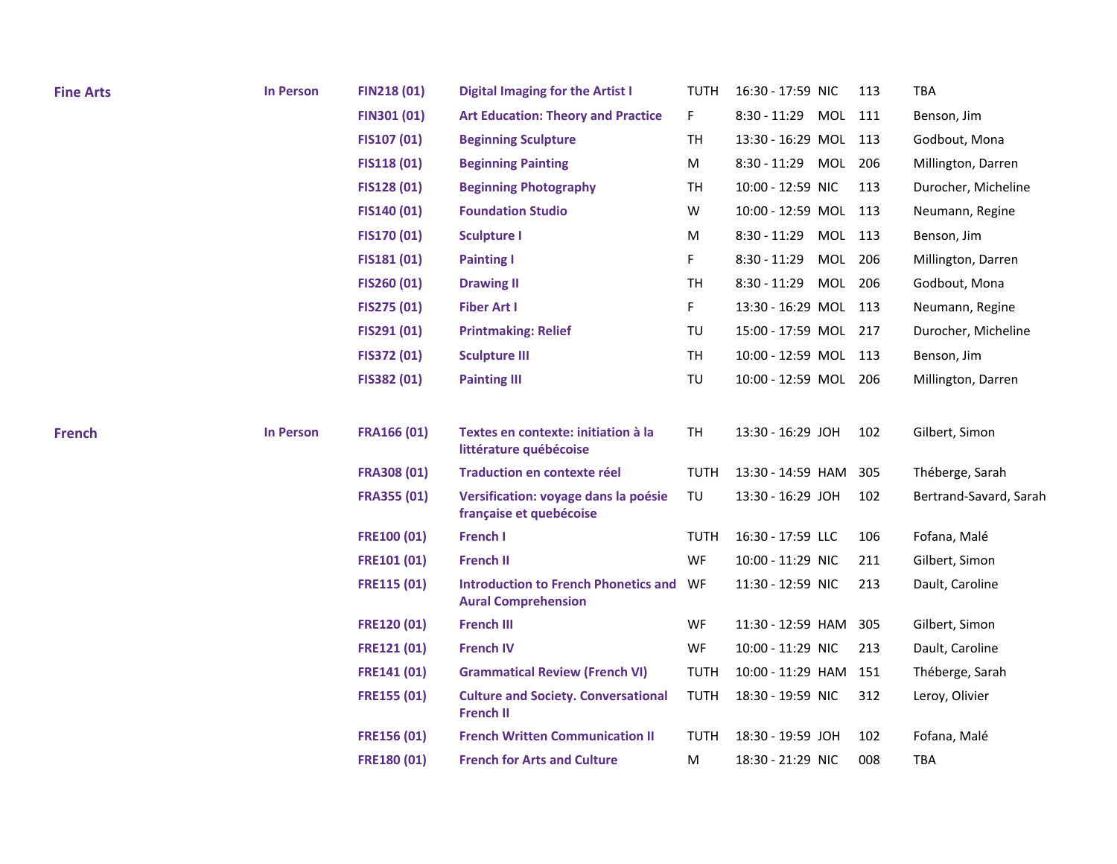| <b>Fine Arts</b> | <b>In Person</b> | <b>FIN218 (01)</b> | <b>Digital Imaging for the Artist I</b>                                   | TUTH        | 16:30 - 17:59 NIC         | 113 | TBA                    |
|------------------|------------------|--------------------|---------------------------------------------------------------------------|-------------|---------------------------|-----|------------------------|
|                  |                  | <b>FIN301 (01)</b> | <b>Art Education: Theory and Practice</b>                                 | F.          | 8:30 - 11:29 MOL 111      |     | Benson, Jim            |
|                  |                  | FIS107 (01)        | <b>Beginning Sculpture</b>                                                | <b>TH</b>   | 13:30 - 16:29 MOL 113     |     | Godbout, Mona          |
|                  |                  | <b>FIS118 (01)</b> | <b>Beginning Painting</b>                                                 | M           | 8:30 - 11:29 MOL 206      |     | Millington, Darren     |
|                  |                  | FIS128 (01)        | <b>Beginning Photography</b>                                              | <b>TH</b>   | 10:00 - 12:59 NIC         | 113 | Durocher, Micheline    |
|                  |                  | FIS140 (01)        | <b>Foundation Studio</b>                                                  | W           | 10:00 - 12:59 MOL 113     |     | Neumann, Regine        |
|                  |                  | <b>FIS170 (01)</b> | <b>Sculpture I</b>                                                        | M           | MOL 113<br>$8:30 - 11:29$ |     | Benson, Jim            |
|                  |                  | FIS181 (01)        | <b>Painting I</b>                                                         | F.          | $8:30 - 11:29$<br>MOL 206 |     | Millington, Darren     |
|                  |                  | FIS260 (01)        | <b>Drawing II</b>                                                         | TH          | MOL 206<br>$8:30 - 11:29$ |     | Godbout, Mona          |
|                  |                  | FIS275 (01)        | <b>Fiber Art I</b>                                                        | F           | 13:30 - 16:29 MOL 113     |     | Neumann, Regine        |
|                  |                  | FIS291 (01)        | <b>Printmaking: Relief</b>                                                | TU          | 15:00 - 17:59 MOL 217     |     | Durocher, Micheline    |
|                  |                  | FIS372 (01)        | <b>Sculpture III</b>                                                      | <b>TH</b>   | 10:00 - 12:59 MOL 113     |     | Benson, Jim            |
|                  |                  | FIS382 (01)        | <b>Painting III</b>                                                       | TU          | 10:00 - 12:59 MOL 206     |     | Millington, Darren     |
| <b>French</b>    | <b>In Person</b> | <b>FRA166 (01)</b> | Textes en contexte: initiation à la<br>littérature québécoise             | <b>TH</b>   | 13:30 - 16:29 JOH         | 102 | Gilbert, Simon         |
|                  |                  | <b>FRA308 (01)</b> | Traduction en contexte réel                                               | <b>TUTH</b> | 13:30 - 14:59 HAM         | 305 | Théberge, Sarah        |
|                  |                  | <b>FRA355 (01)</b> | Versification: voyage dans la poésie<br>française et quebécoise           | TU          | 13:30 - 16:29 JOH         | 102 | Bertrand-Savard, Sarah |
|                  |                  | <b>FRE100 (01)</b> | <b>French I</b>                                                           | TUTH        | 16:30 - 17:59 LLC         | 106 | Fofana, Malé           |
|                  |                  | <b>FRE101 (01)</b> | <b>French II</b>                                                          | WF          | 10:00 - 11:29 NIC         | 211 | Gilbert, Simon         |
|                  |                  | <b>FRE115 (01)</b> | <b>Introduction to French Phonetics and</b><br><b>Aural Comprehension</b> | WF          | 11:30 - 12:59 NIC         | 213 | Dault, Caroline        |
|                  |                  | <b>FRE120 (01)</b> | <b>French III</b>                                                         | <b>WF</b>   | 11:30 - 12:59 HAM         | 305 | Gilbert, Simon         |
|                  |                  | <b>FRE121 (01)</b> | <b>French IV</b>                                                          | WF          | 10:00 - 11:29 NIC         | 213 | Dault, Caroline        |
|                  |                  | FRE141 (01)        | <b>Grammatical Review (French VI)</b>                                     | <b>TUTH</b> | 10:00 - 11:29 HAM         | 151 | Théberge, Sarah        |
|                  |                  | <b>FRE155 (01)</b> | <b>Culture and Society. Conversational</b><br><b>French II</b>            | <b>TUTH</b> | 18:30 - 19:59 NIC         | 312 | Leroy, Olivier         |
|                  |                  | FRE156 (01)        | <b>French Written Communication II</b>                                    | TUTH        | 18:30 - 19:59 JOH         | 102 | Fofana, Malé           |
|                  |                  | <b>FRE180 (01)</b> | <b>French for Arts and Culture</b>                                        | M           | 18:30 - 21:29 NIC         | 008 | <b>TBA</b>             |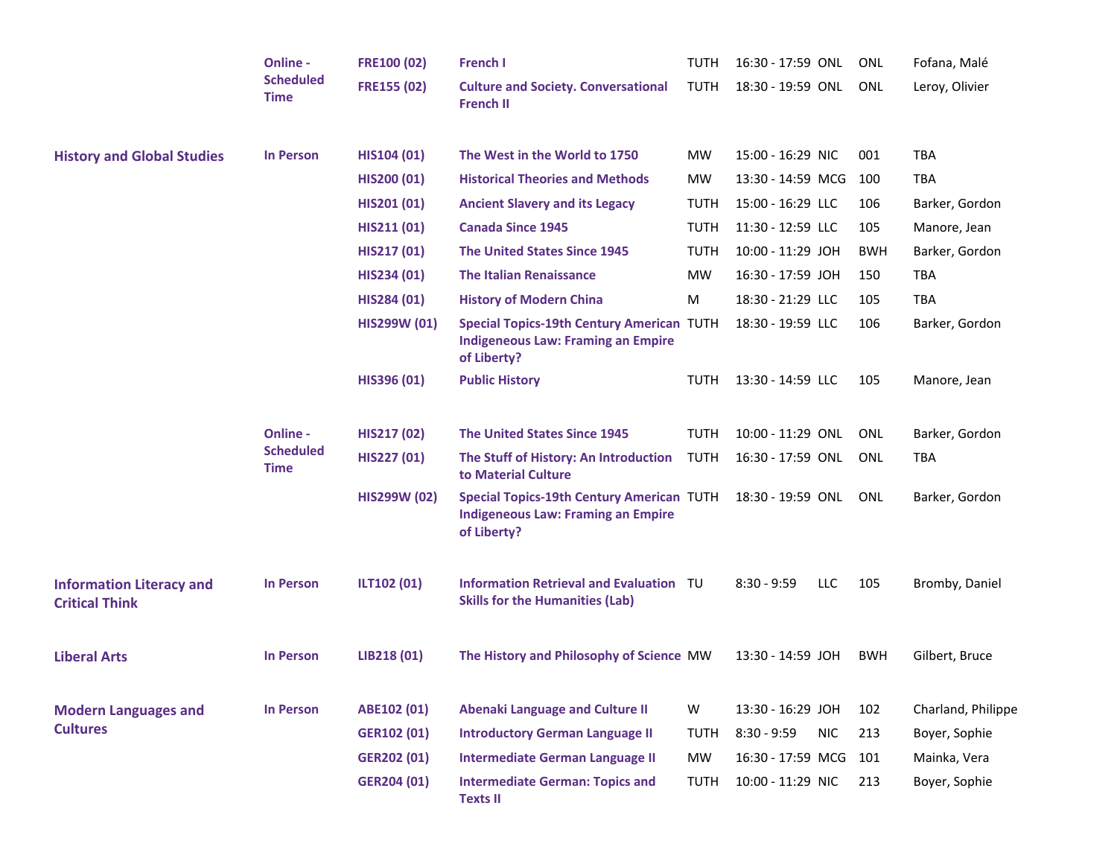|                                                          | Online -                                    | <b>FRE100 (02)</b>  | <b>French I</b>                                                                                              | <b>TUTH</b> | 16:30 - 17:59 ONL |            | ONL        | Fofana, Malé       |
|----------------------------------------------------------|---------------------------------------------|---------------------|--------------------------------------------------------------------------------------------------------------|-------------|-------------------|------------|------------|--------------------|
|                                                          | <b>Scheduled</b><br><b>Time</b>             | <b>FRE155 (02)</b>  | <b>Culture and Society. Conversational</b><br><b>French II</b>                                               | <b>TUTH</b> | 18:30 - 19:59 ONL |            | <b>ONL</b> | Leroy, Olivier     |
| <b>History and Global Studies</b>                        | <b>In Person</b>                            | HIS104 (01)         | The West in the World to 1750                                                                                | <b>MW</b>   | 15:00 - 16:29 NIC |            | 001        | <b>TBA</b>         |
|                                                          |                                             | <b>HIS200 (01)</b>  | <b>Historical Theories and Methods</b>                                                                       | <b>MW</b>   | 13:30 - 14:59 MCG |            | 100        | <b>TBA</b>         |
|                                                          |                                             | HIS201 (01)         | <b>Ancient Slavery and its Legacy</b>                                                                        | <b>TUTH</b> | 15:00 - 16:29 LLC |            | 106        | Barker, Gordon     |
|                                                          |                                             | HIS211 (01)         | <b>Canada Since 1945</b>                                                                                     | <b>TUTH</b> | 11:30 - 12:59 LLC |            | 105        | Manore, Jean       |
|                                                          |                                             | HIS217 (01)         | <b>The United States Since 1945</b>                                                                          | <b>TUTH</b> | 10:00 - 11:29 JOH |            | <b>BWH</b> | Barker, Gordon     |
|                                                          |                                             | HIS234 (01)         | <b>The Italian Renaissance</b>                                                                               | <b>MW</b>   | 16:30 - 17:59 JOH |            | 150        | <b>TBA</b>         |
|                                                          |                                             | HIS284 (01)         | <b>History of Modern China</b>                                                                               | М           | 18:30 - 21:29 LLC |            | 105        | <b>TBA</b>         |
|                                                          |                                             | <b>HIS299W (01)</b> | <b>Special Topics-19th Century American TUTH</b><br><b>Indigeneous Law: Framing an Empire</b><br>of Liberty? |             | 18:30 - 19:59 LLC |            | 106        | Barker, Gordon     |
|                                                          |                                             | HIS396 (01)         | <b>Public History</b>                                                                                        | TUTH        | 13:30 - 14:59 LLC |            | 105        | Manore, Jean       |
|                                                          | Online -<br><b>Scheduled</b><br><b>Time</b> | HIS217 (02)         | <b>The United States Since 1945</b>                                                                          | <b>TUTH</b> | 10:00 - 11:29 ONL |            | <b>ONL</b> | Barker, Gordon     |
|                                                          |                                             | HIS227 (01)         | The Stuff of History: An Introduction TUTH<br>to Material Culture                                            |             | 16:30 - 17:59 ONL |            | ONL        | <b>TBA</b>         |
|                                                          |                                             | <b>HIS299W (02)</b> | <b>Special Topics-19th Century American TUTH</b><br><b>Indigeneous Law: Framing an Empire</b><br>of Liberty? |             | 18:30 - 19:59 ONL |            | ONL        | Barker, Gordon     |
| <b>Information Literacy and</b><br><b>Critical Think</b> | <b>In Person</b>                            | ILT102 (01)         | <b>Information Retrieval and Evaluation TU</b><br><b>Skills for the Humanities (Lab)</b>                     |             | $8:30 - 9:59$     | LLC        | 105        | Bromby, Daniel     |
| <b>Liberal Arts</b>                                      | <b>In Person</b>                            | LIB218 (01)         | The History and Philosophy of Science MW                                                                     |             | 13:30 - 14:59 JOH |            | <b>BWH</b> | Gilbert, Bruce     |
| <b>Modern Languages and</b>                              | <b>In Person</b>                            | ABE102 (01)         | <b>Abenaki Language and Culture II</b>                                                                       | W           | 13:30 - 16:29 JOH |            | 102        | Charland, Philippe |
| <b>Cultures</b>                                          |                                             | <b>GER102 (01)</b>  | <b>Introductory German Language II</b>                                                                       | <b>TUTH</b> | $8:30 - 9:59$     | <b>NIC</b> | 213        | Boyer, Sophie      |
|                                                          |                                             | <b>GER202 (01)</b>  | <b>Intermediate German Language II</b>                                                                       | MW          | 16:30 - 17:59 MCG |            | 101        | Mainka, Vera       |
|                                                          |                                             | GER204 (01)         | <b>Intermediate German: Topics and</b><br><b>Texts II</b>                                                    | <b>TUTH</b> | 10:00 - 11:29 NIC |            | 213        | Boyer, Sophie      |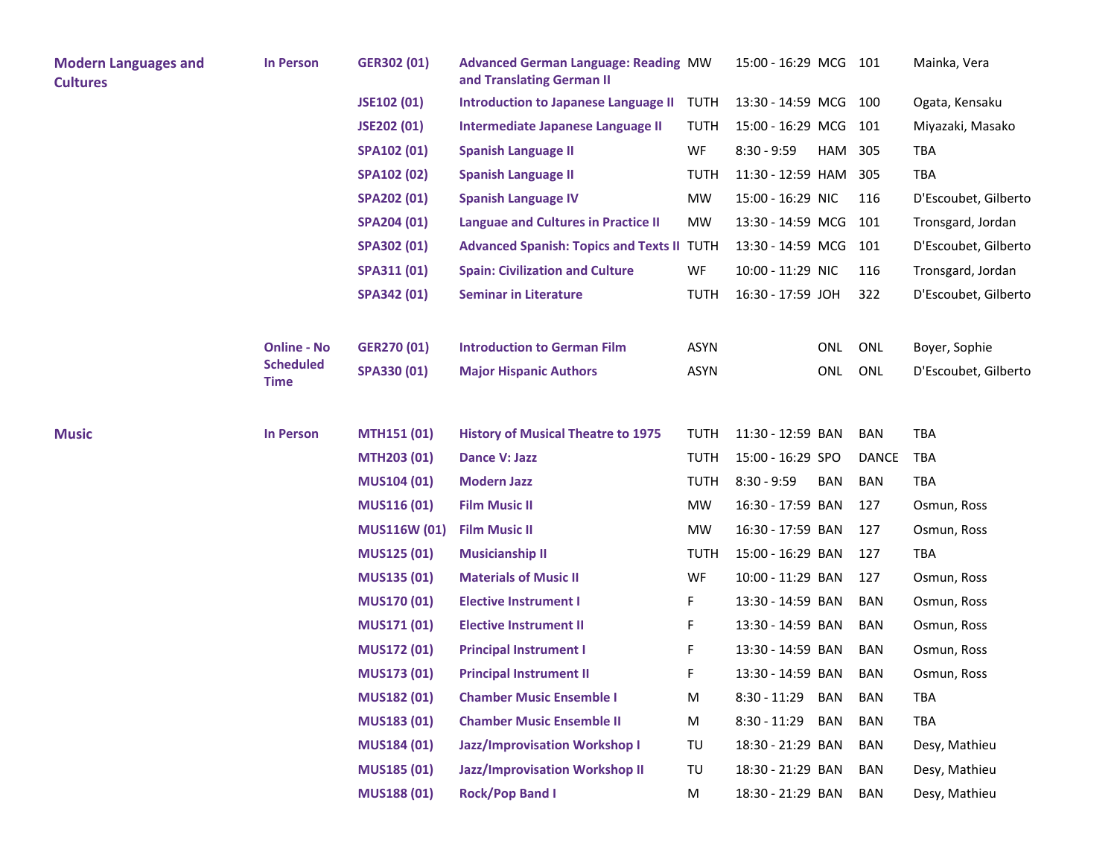| <b>Modern Languages and</b><br><b>Cultures</b> | <b>In Person</b>                | GER302 (01)         | <b>Advanced German Language: Reading MW</b><br>and Translating German II |             | 15:00 - 16:29 MCG 101 |            |            | Mainka, Vera         |
|------------------------------------------------|---------------------------------|---------------------|--------------------------------------------------------------------------|-------------|-----------------------|------------|------------|----------------------|
|                                                |                                 | JSE102 (01)         | Introduction to Japanese Language II TUTH                                |             | 13:30 - 14:59 MCG 100 |            |            | Ogata, Kensaku       |
|                                                |                                 | JSE202 (01)         | Intermediate Japanese Language II                                        | <b>TUTH</b> | 15:00 - 16:29 MCG 101 |            |            | Miyazaki, Masako     |
|                                                |                                 | <b>SPA102 (01)</b>  | <b>Spanish Language II</b>                                               | WF          | $8:30 - 9:59$         | HAM        | 305        | <b>TBA</b>           |
|                                                |                                 | <b>SPA102 (02)</b>  | <b>Spanish Language II</b>                                               | <b>TUTH</b> | 11:30 - 12:59 HAM     |            | 305        | <b>TBA</b>           |
|                                                |                                 | SPA202 (01)         | <b>Spanish Language IV</b>                                               | MW          | 15:00 - 16:29 NIC     |            | 116        | D'Escoubet, Gilberto |
|                                                |                                 | <b>SPA204 (01)</b>  | <b>Languae and Cultures in Practice II</b>                               | <b>MW</b>   | 13:30 - 14:59 MCG     |            | 101        | Tronsgard, Jordan    |
|                                                |                                 | SPA302 (01)         | <b>Advanced Spanish: Topics and Texts II TUTH</b>                        |             | 13:30 - 14:59 MCG 101 |            |            | D'Escoubet, Gilberto |
|                                                |                                 | SPA311 (01)         | <b>Spain: Civilization and Culture</b>                                   | WF          | 10:00 - 11:29 NIC     |            | 116        | Tronsgard, Jordan    |
|                                                |                                 | SPA342 (01)         | <b>Seminar in Literature</b>                                             | <b>TUTH</b> | 16:30 - 17:59 JOH     |            | 322        | D'Escoubet, Gilberto |
|                                                | <b>Online - No</b>              | <b>GER270 (01)</b>  | <b>Introduction to German Film</b>                                       | <b>ASYN</b> |                       | ONL        | ONL        | Boyer, Sophie        |
|                                                | <b>Scheduled</b><br><b>Time</b> | SPA330 (01)         | <b>Major Hispanic Authors</b>                                            | <b>ASYN</b> |                       | ONL        | ONL        | D'Escoubet, Gilberto |
| <b>Music</b>                                   | <b>In Person</b>                | <b>MTH151 (01)</b>  | <b>History of Musical Theatre to 1975</b>                                | <b>TUTH</b> | 11:30 - 12:59 BAN     |            | BAN        | <b>TBA</b>           |
|                                                |                                 | <b>MTH203 (01)</b>  | Dance V: Jazz                                                            | <b>TUTH</b> | 15:00 - 16:29 SPO     |            | DANCE      | TBA                  |
|                                                |                                 | <b>MUS104 (01)</b>  | <b>Modern Jazz</b>                                                       | <b>TUTH</b> | $8:30 - 9:59$         | <b>BAN</b> | <b>BAN</b> | <b>TBA</b>           |
|                                                |                                 | <b>MUS116 (01)</b>  | <b>Film Music II</b>                                                     | MW          | 16:30 - 17:59 BAN     |            | 127        | Osmun, Ross          |
|                                                |                                 | <b>MUS116W (01)</b> | <b>Film Music II</b>                                                     | MW          | 16:30 - 17:59 BAN     |            | 127        | Osmun, Ross          |
|                                                |                                 | MUS125 (01)         | <b>Musicianship II</b>                                                   | <b>TUTH</b> | 15:00 - 16:29 BAN     |            | 127        | TBA                  |
|                                                |                                 | <b>MUS135 (01)</b>  | <b>Materials of Music II</b>                                             | WF          | 10:00 - 11:29 BAN     |            | 127        | Osmun, Ross          |
|                                                |                                 | <b>MUS170 (01)</b>  | <b>Elective Instrument I</b>                                             | F.          | 13:30 - 14:59 BAN     |            | <b>BAN</b> | Osmun, Ross          |
|                                                |                                 | <b>MUS171 (01)</b>  | <b>Elective Instrument II</b>                                            | F.          | 13:30 - 14:59 BAN     |            | <b>BAN</b> | Osmun, Ross          |
|                                                |                                 | <b>MUS172 (01)</b>  | <b>Principal Instrument I</b>                                            | F.          | 13:30 - 14:59 BAN     |            | <b>BAN</b> | Osmun, Ross          |
|                                                |                                 | <b>MUS173 (01)</b>  | <b>Principal Instrument II</b>                                           | F.          | 13:30 - 14:59 BAN     |            | <b>BAN</b> | Osmun, Ross          |
|                                                |                                 | <b>MUS182 (01)</b>  | <b>Chamber Music Ensemble I</b>                                          | M           | $8:30 - 11:29$        | <b>BAN</b> | <b>BAN</b> | TBA                  |
|                                                |                                 | MUS183 (01)         | <b>Chamber Music Ensemble II</b>                                         | M           | $8:30 - 11:29$        | <b>BAN</b> | BAN        | TBA                  |
|                                                |                                 | <b>MUS184 (01)</b>  | <b>Jazz/Improvisation Workshop I</b>                                     | TU          | 18:30 - 21:29 BAN     |            | BAN        | Desy, Mathieu        |
|                                                |                                 | <b>MUS185 (01)</b>  | <b>Jazz/Improvisation Workshop II</b>                                    | TU          | 18:30 - 21:29 BAN     |            | BAN        | Desy, Mathieu        |
|                                                |                                 | <b>MUS188 (01)</b>  | <b>Rock/Pop Band I</b>                                                   | M           | 18:30 - 21:29 BAN     |            | <b>BAN</b> | Desy, Mathieu        |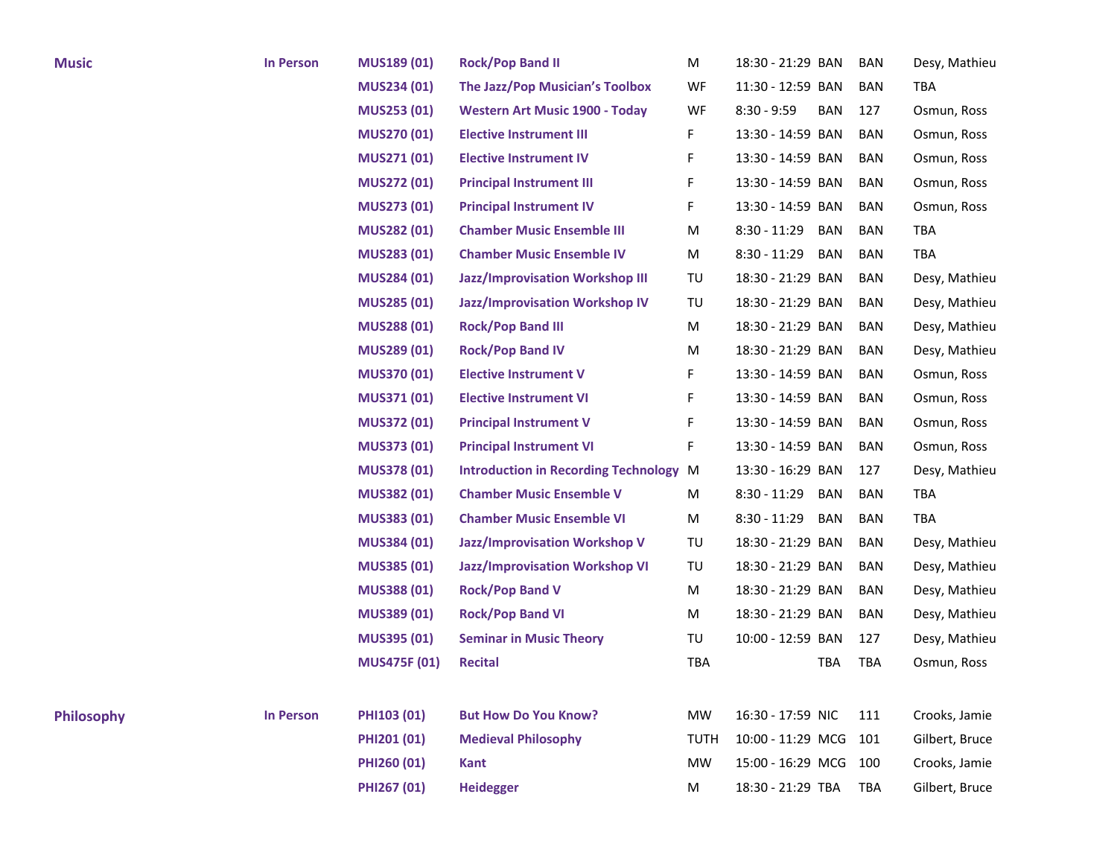| <b>Music</b>      | <b>In Person</b> | MUS189 (01)         | <b>Rock/Pop Band II</b>                       | M           | 18:30 - 21:29 BAN     |            | <b>BAN</b> | Desy, Mathieu  |
|-------------------|------------------|---------------------|-----------------------------------------------|-------------|-----------------------|------------|------------|----------------|
|                   |                  | <b>MUS234 (01)</b>  | The Jazz/Pop Musician's Toolbox               | WF          | 11:30 - 12:59 BAN     |            | BAN        | TBA            |
|                   |                  | <b>MUS253 (01)</b>  | <b>Western Art Music 1900 - Today</b>         | WF          | $8:30 - 9:59$         | <b>BAN</b> | 127        | Osmun, Ross    |
|                   |                  | <b>MUS270 (01)</b>  | <b>Elective Instrument III</b>                | F.          | 13:30 - 14:59 BAN     |            | <b>BAN</b> | Osmun, Ross    |
|                   |                  | <b>MUS271 (01)</b>  | <b>Elective Instrument IV</b>                 | F           | 13:30 - 14:59 BAN     |            | <b>BAN</b> | Osmun, Ross    |
|                   |                  | <b>MUS272 (01)</b>  | <b>Principal Instrument III</b>               | F.          | 13:30 - 14:59 BAN     |            | BAN        | Osmun, Ross    |
|                   |                  | <b>MUS273 (01)</b>  | <b>Principal Instrument IV</b>                | F           | 13:30 - 14:59 BAN     |            | BAN        | Osmun, Ross    |
|                   |                  | <b>MUS282 (01)</b>  | <b>Chamber Music Ensemble III</b>             | М           | 8:30 - 11:29          | BAN        | BAN        | TBA            |
|                   |                  | <b>MUS283 (01)</b>  | <b>Chamber Music Ensemble IV</b>              | M           | $8:30 - 11:29$        | <b>BAN</b> | BAN        | TBA            |
|                   |                  | MUS284 (01)         | <b>Jazz/Improvisation Workshop III</b>        | TU          | 18:30 - 21:29 BAN     |            | <b>BAN</b> | Desy, Mathieu  |
|                   |                  | <b>MUS285 (01)</b>  | <b>Jazz/Improvisation Workshop IV</b>         | TU          | 18:30 - 21:29 BAN     |            | BAN        | Desy, Mathieu  |
|                   |                  | <b>MUS288 (01)</b>  | <b>Rock/Pop Band III</b>                      | M           | 18:30 - 21:29 BAN     |            | BAN        | Desy, Mathieu  |
|                   |                  | MUS289 (01)         | <b>Rock/Pop Band IV</b>                       | M           | 18:30 - 21:29 BAN     |            | BAN        | Desy, Mathieu  |
|                   |                  | <b>MUS370 (01)</b>  | <b>Elective Instrument V</b>                  | F           | 13:30 - 14:59 BAN     |            | BAN        | Osmun, Ross    |
|                   |                  | <b>MUS371 (01)</b>  | <b>Elective Instrument VI</b>                 | F.          | 13:30 - 14:59 BAN     |            | BAN        | Osmun, Ross    |
|                   |                  | <b>MUS372 (01)</b>  | <b>Principal Instrument V</b>                 | F           | 13:30 - 14:59 BAN     |            | BAN        | Osmun, Ross    |
|                   |                  | <b>MUS373 (01)</b>  | <b>Principal Instrument VI</b>                | F           | 13:30 - 14:59 BAN     |            | BAN        | Osmun, Ross    |
|                   |                  | <b>MUS378 (01)</b>  | <b>Introduction in Recording Technology M</b> |             | 13:30 - 16:29 BAN     |            | 127        | Desy, Mathieu  |
|                   |                  | <b>MUS382 (01)</b>  | <b>Chamber Music Ensemble V</b>               | M           | $8:30 - 11:29$        | BAN        | BAN        | <b>TBA</b>     |
|                   |                  | <b>MUS383 (01)</b>  | <b>Chamber Music Ensemble VI</b>              | M           | 8:30 - 11:29          | BAN        | <b>BAN</b> | TBA            |
|                   |                  | MUS384 (01)         | <b>Jazz/Improvisation Workshop V</b>          | TU          | 18:30 - 21:29 BAN     |            | BAN        | Desy, Mathieu  |
|                   |                  | MUS385 (01)         | <b>Jazz/Improvisation Workshop VI</b>         | TU          | 18:30 - 21:29 BAN     |            | <b>BAN</b> | Desy, Mathieu  |
|                   |                  | <b>MUS388 (01)</b>  | <b>Rock/Pop Band V</b>                        | M           | 18:30 - 21:29 BAN     |            | BAN        | Desy, Mathieu  |
|                   |                  | MUS389 (01)         | <b>Rock/Pop Band VI</b>                       | M           | 18:30 - 21:29 BAN     |            | BAN        | Desy, Mathieu  |
|                   |                  | <b>MUS395 (01)</b>  | <b>Seminar in Music Theory</b>                | TU          | 10:00 - 12:59 BAN     |            | 127        | Desy, Mathieu  |
|                   |                  | <b>MUS475F (01)</b> | <b>Recital</b>                                | TBA         |                       | TBA        | <b>TBA</b> | Osmun, Ross    |
|                   |                  |                     |                                               |             |                       |            |            |                |
| <b>Philosophy</b> | <b>In Person</b> | PHI103 (01)         | <b>But How Do You Know?</b>                   | <b>MW</b>   | 16:30 - 17:59 NIC     |            | 111        | Crooks, Jamie  |
|                   |                  | PHI201 (01)         | <b>Medieval Philosophy</b>                    | <b>TUTH</b> | 10:00 - 11:29 MCG     |            | 101        | Gilbert, Bruce |
|                   |                  | PHI260 (01)         | <b>Kant</b>                                   | <b>MW</b>   | 15:00 - 16:29 MCG 100 |            |            | Crooks, Jamie  |
|                   |                  | PHI267 (01)         | <b>Heidegger</b>                              | M           | 18:30 - 21:29 TBA     |            | TBA        | Gilbert, Bruce |
|                   |                  |                     |                                               |             |                       |            |            |                |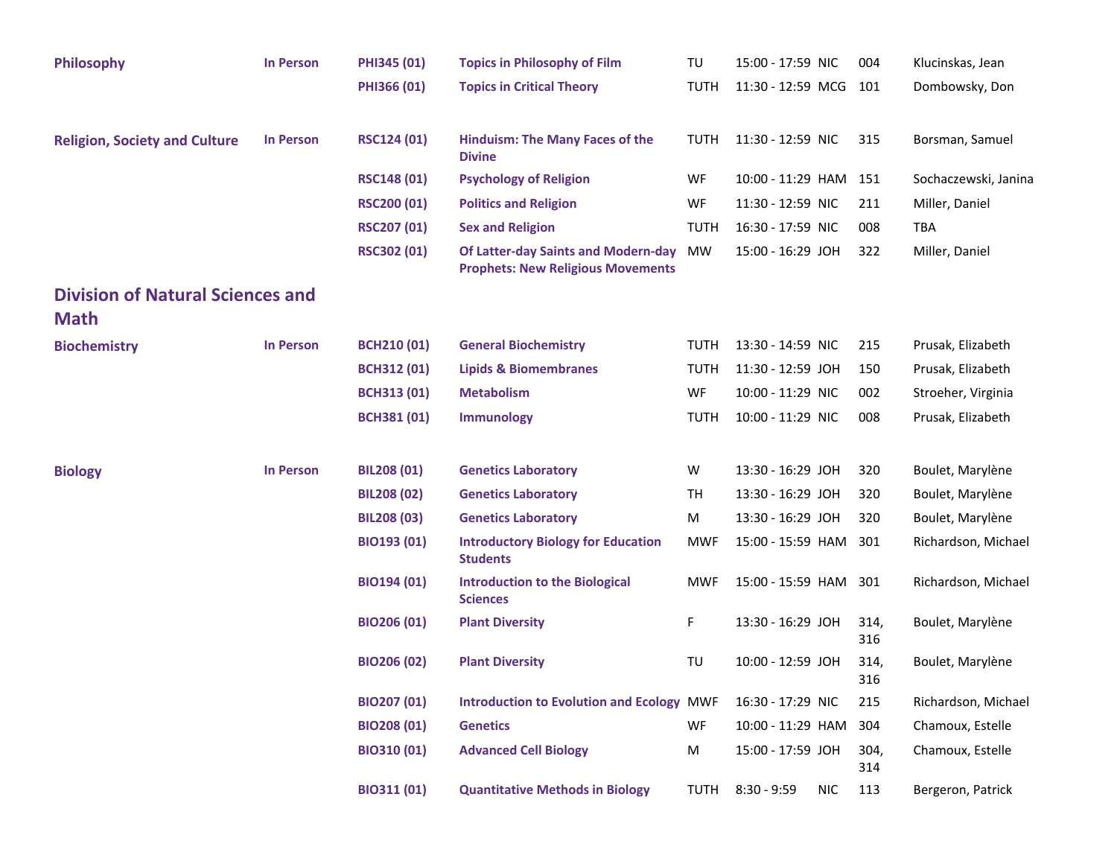| <b>Philosophy</b>                                      | <b>In Person</b> | PHI345 (01)        | <b>Topics in Philosophy of Film</b>                                             | TU          | 15:00 - 17:59 NIC     |            | 004         | Klucinskas, Jean     |
|--------------------------------------------------------|------------------|--------------------|---------------------------------------------------------------------------------|-------------|-----------------------|------------|-------------|----------------------|
|                                                        |                  | PHI366 (01)        | <b>Topics in Critical Theory</b>                                                | <b>TUTH</b> | 11:30 - 12:59 MCG     |            | 101         | Dombowsky, Don       |
| <b>Religion, Society and Culture</b>                   | <b>In Person</b> | <b>RSC124 (01)</b> | <b>Hinduism: The Many Faces of the</b><br><b>Divine</b>                         | <b>TUTH</b> | 11:30 - 12:59 NIC     |            | 315         | Borsman, Samuel      |
|                                                        |                  | <b>RSC148 (01)</b> | <b>Psychology of Religion</b>                                                   | WF          | 10:00 - 11:29 HAM 151 |            |             | Sochaczewski, Janina |
|                                                        |                  | <b>RSC200 (01)</b> | <b>Politics and Religion</b>                                                    | WF          | 11:30 - 12:59 NIC     |            | 211         | Miller, Daniel       |
|                                                        |                  | <b>RSC207 (01)</b> | <b>Sex and Religion</b>                                                         | <b>TUTH</b> | 16:30 - 17:59 NIC     |            | 008         | <b>TBA</b>           |
|                                                        |                  | <b>RSC302 (01)</b> | Of Latter-day Saints and Modern-day<br><b>Prophets: New Religious Movements</b> | <b>MW</b>   | 15:00 - 16:29 JOH     |            | 322         | Miller, Daniel       |
| <b>Division of Natural Sciences and</b><br><b>Math</b> |                  |                    |                                                                                 |             |                       |            |             |                      |
| <b>Biochemistry</b>                                    | <b>In Person</b> | <b>BCH210 (01)</b> | <b>General Biochemistry</b>                                                     | <b>TUTH</b> | 13:30 - 14:59 NIC     |            | 215         | Prusak, Elizabeth    |
|                                                        |                  | <b>BCH312 (01)</b> | <b>Lipids &amp; Biomembranes</b>                                                | <b>TUTH</b> | 11:30 - 12:59 JOH     |            | 150         | Prusak, Elizabeth    |
|                                                        |                  | <b>BCH313 (01)</b> | <b>Metabolism</b>                                                               | WF          | 10:00 - 11:29 NIC     |            | 002         | Stroeher, Virginia   |
|                                                        |                  | <b>BCH381 (01)</b> | <b>Immunology</b>                                                               | <b>TUTH</b> | 10:00 - 11:29 NIC     |            | 008         | Prusak, Elizabeth    |
| <b>Biology</b>                                         | <b>In Person</b> | <b>BIL208 (01)</b> | <b>Genetics Laboratory</b>                                                      | W           | 13:30 - 16:29 JOH     |            | 320         | Boulet, Marylène     |
|                                                        |                  | <b>BIL208 (02)</b> | <b>Genetics Laboratory</b>                                                      | TH          | 13:30 - 16:29 JOH     |            | 320         | Boulet, Marylène     |
|                                                        |                  | <b>BIL208 (03)</b> | <b>Genetics Laboratory</b>                                                      | M           | 13:30 - 16:29 JOH     |            | 320         | Boulet, Marylène     |
|                                                        |                  | <b>BIO193 (01)</b> | <b>Introductory Biology for Education</b><br><b>Students</b>                    | MWF         | 15:00 - 15:59 HAM     |            | 301         | Richardson, Michael  |
|                                                        |                  | <b>BIO194 (01)</b> | <b>Introduction to the Biological</b><br><b>Sciences</b>                        | <b>MWF</b>  | 15:00 - 15:59 HAM 301 |            |             | Richardson, Michael  |
|                                                        |                  | <b>BIO206 (01)</b> | <b>Plant Diversity</b>                                                          | F           | 13:30 - 16:29 JOH     |            | 314,<br>316 | Boulet, Marylène     |
|                                                        |                  | <b>BIO206 (02)</b> | <b>Plant Diversity</b>                                                          | TU          | 10:00 - 12:59 JOH     |            | 314,<br>316 | Boulet, Marylène     |
|                                                        |                  | <b>BIO207 (01)</b> | <b>Introduction to Evolution and Ecology MWF</b>                                |             | 16:30 - 17:29 NIC     |            | 215         | Richardson, Michael  |
|                                                        |                  | <b>BIO208 (01)</b> | <b>Genetics</b>                                                                 | <b>WF</b>   | 10:00 - 11:29 HAM     |            | 304         | Chamoux, Estelle     |
|                                                        |                  | <b>BIO310 (01)</b> | <b>Advanced Cell Biology</b>                                                    | M           | 15:00 - 17:59 JOH     |            | 304,<br>314 | Chamoux, Estelle     |
|                                                        |                  | BIO311 (01)        | <b>Quantitative Methods in Biology</b>                                          | TUTH        | $8:30 - 9:59$         | <b>NIC</b> | 113         | Bergeron, Patrick    |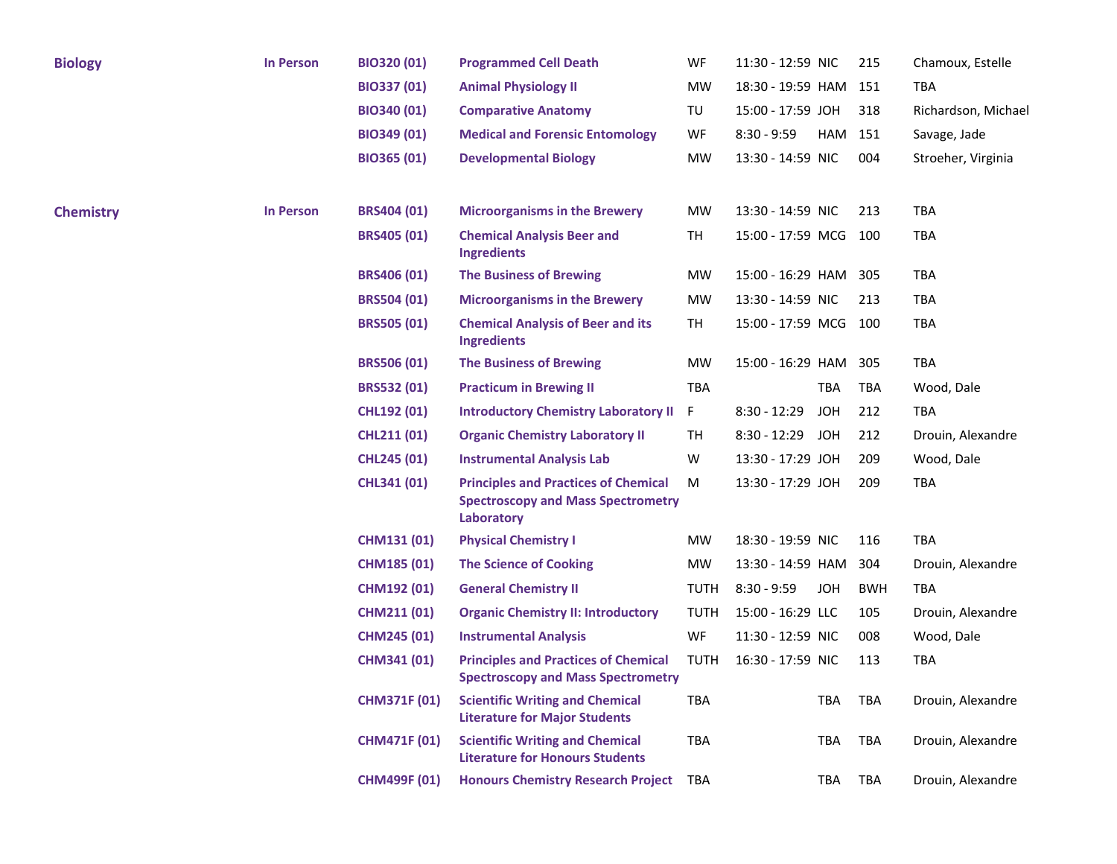| <b>Biology</b>   | <b>In Person</b> | <b>BIO320 (01)</b>  | <b>Programmed Cell Death</b>                                                                           | WF          | 11:30 - 12:59 NIC     |            | 215        | Chamoux, Estelle    |
|------------------|------------------|---------------------|--------------------------------------------------------------------------------------------------------|-------------|-----------------------|------------|------------|---------------------|
|                  |                  | BIO337 (01)         | <b>Animal Physiology II</b>                                                                            | <b>MW</b>   | 18:30 - 19:59 HAM     |            | 151        | TBA                 |
|                  |                  | <b>BIO340 (01)</b>  | <b>Comparative Anatomy</b>                                                                             | TU          | 15:00 - 17:59 JOH     |            | 318        | Richardson, Michael |
|                  |                  | BIO349 (01)         | <b>Medical and Forensic Entomology</b>                                                                 | WF          | $8:30 - 9:59$         | HAM        | 151        | Savage, Jade        |
|                  |                  | <b>BIO365 (01)</b>  | <b>Developmental Biology</b>                                                                           | <b>MW</b>   | 13:30 - 14:59 NIC     |            | 004        | Stroeher, Virginia  |
| <b>Chemistry</b> | <b>In Person</b> | <b>BRS404 (01)</b>  | <b>Microorganisms in the Brewery</b>                                                                   | <b>MW</b>   | 13:30 - 14:59 NIC     |            | 213        | <b>TBA</b>          |
|                  |                  | <b>BRS405 (01)</b>  | <b>Chemical Analysis Beer and</b><br><b>Ingredients</b>                                                | TH          | 15:00 - 17:59 MCG     |            | 100        | <b>TBA</b>          |
|                  |                  | <b>BRS406 (01)</b>  | <b>The Business of Brewing</b>                                                                         | MW          | 15:00 - 16:29 HAM 305 |            |            | TBA                 |
|                  |                  | <b>BRS504 (01)</b>  | <b>Microorganisms in the Brewery</b>                                                                   | <b>MW</b>   | 13:30 - 14:59 NIC     |            | 213        | TBA                 |
|                  |                  | <b>BRS505 (01)</b>  | <b>Chemical Analysis of Beer and its</b><br>Ingredients                                                | TH          | 15:00 - 17:59 MCG     |            | 100        | <b>TBA</b>          |
|                  |                  | <b>BRS506 (01)</b>  | <b>The Business of Brewing</b>                                                                         | MW          | 15:00 - 16:29 HAM     |            | 305        | TBA                 |
|                  |                  | <b>BRS532 (01)</b>  | <b>Practicum in Brewing II</b>                                                                         | TBA         |                       | TBA        | TBA        | Wood, Dale          |
|                  |                  | <b>CHL192 (01)</b>  | <b>Introductory Chemistry Laboratory II</b>                                                            | F.          | $8:30 - 12:29$        | JOH        | 212        | TBA                 |
|                  |                  | <b>CHL211 (01)</b>  | <b>Organic Chemistry Laboratory II</b>                                                                 | TH          | 8:30 - 12:29 JOH      |            | 212        | Drouin, Alexandre   |
|                  |                  | <b>CHL245 (01)</b>  | <b>Instrumental Analysis Lab</b>                                                                       | W           | 13:30 - 17:29 JOH     |            | 209        | Wood, Dale          |
|                  |                  | CHL341 (01)         | <b>Principles and Practices of Chemical</b><br><b>Spectroscopy and Mass Spectrometry</b><br>Laboratory | M           | 13:30 - 17:29 JOH     |            | 209        | <b>TBA</b>          |
|                  |                  | <b>CHM131 (01)</b>  | <b>Physical Chemistry I</b>                                                                            | MW          | 18:30 - 19:59 NIC     |            | 116        | <b>TBA</b>          |
|                  |                  | <b>CHM185 (01)</b>  | <b>The Science of Cooking</b>                                                                          | MW          | 13:30 - 14:59 HAM     |            | 304        | Drouin, Alexandre   |
|                  |                  | <b>CHM192 (01)</b>  | <b>General Chemistry II</b>                                                                            | TUTH        | $8:30 - 9:59$         | <b>JOH</b> | <b>BWH</b> | <b>TBA</b>          |
|                  |                  | <b>CHM211 (01)</b>  | <b>Organic Chemistry II: Introductory</b>                                                              | <b>TUTH</b> | 15:00 - 16:29 LLC     |            | 105        | Drouin, Alexandre   |
|                  |                  | <b>CHM245 (01)</b>  | <b>Instrumental Analysis</b>                                                                           | WF          | 11:30 - 12:59 NIC     |            | 008        | Wood, Dale          |
|                  |                  | <b>CHM341 (01)</b>  | <b>Principles and Practices of Chemical</b><br><b>Spectroscopy and Mass Spectrometry</b>               | TUTH        | 16:30 - 17:59 NIC     |            | 113        | <b>TBA</b>          |
|                  |                  | <b>CHM371F (01)</b> | <b>Scientific Writing and Chemical</b><br><b>Literature for Major Students</b>                         | <b>TBA</b>  |                       | <b>TBA</b> | TBA        | Drouin, Alexandre   |
|                  |                  | <b>CHM471F (01)</b> | <b>Scientific Writing and Chemical</b><br><b>Literature for Honours Students</b>                       | TBA         |                       | TBA        | TBA        | Drouin, Alexandre   |
|                  |                  | <b>CHM499F (01)</b> | <b>Honours Chemistry Research Project</b>                                                              | TBA         |                       | TBA        | TBA        | Drouin, Alexandre   |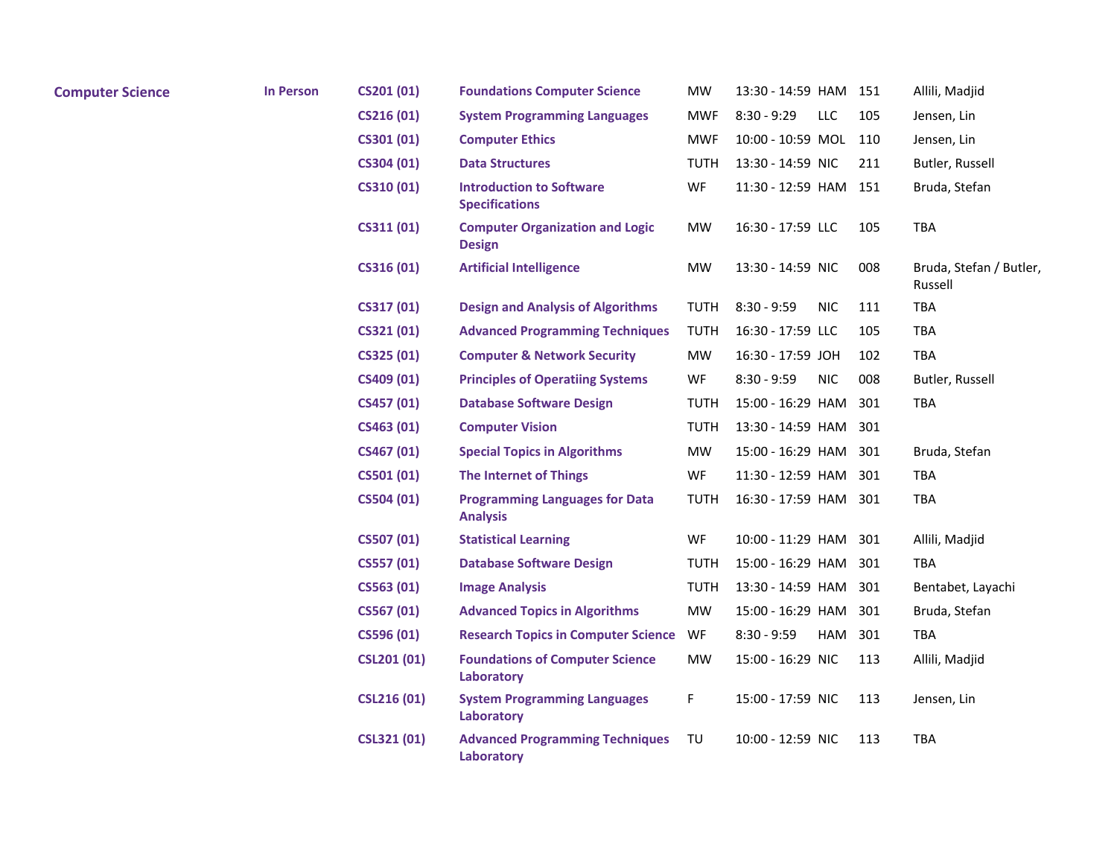| <b>Computer Science</b> | <b>In Person</b> | CS201 (01)         | <b>Foundations Computer Science</b>                      | MW          | 13:30 - 14:59 HAM           | 151 | Allili, Madjid                     |
|-------------------------|------------------|--------------------|----------------------------------------------------------|-------------|-----------------------------|-----|------------------------------------|
|                         |                  | CS216 (01)         | <b>System Programming Languages</b>                      | <b>MWF</b>  | $8:30 - 9:29$<br>LLC        | 105 | Jensen, Lin                        |
|                         |                  | CS301 (01)         | <b>Computer Ethics</b>                                   | MWF         | 10:00 - 10:59 MOL           | 110 | Jensen, Lin                        |
|                         |                  | CS304 (01)         | <b>Data Structures</b>                                   | TUTH        | 13:30 - 14:59 NIC           | 211 | Butler, Russell                    |
|                         |                  | CS310 (01)         | <b>Introduction to Software</b><br><b>Specifications</b> | WF          | 11:30 - 12:59 HAM           | 151 | Bruda, Stefan                      |
|                         |                  | CS311 (01)         | <b>Computer Organization and Logic</b><br><b>Design</b>  | <b>MW</b>   | 16:30 - 17:59 LLC           | 105 | <b>TBA</b>                         |
|                         |                  | CS316 (01)         | <b>Artificial Intelligence</b>                           | <b>MW</b>   | 13:30 - 14:59 NIC           | 008 | Bruda, Stefan / Butler,<br>Russell |
|                         |                  | CS317 (01)         | <b>Design and Analysis of Algorithms</b>                 | TUTH        | $8:30 - 9:59$<br><b>NIC</b> | 111 | <b>TBA</b>                         |
|                         |                  | CS321 (01)         | <b>Advanced Programming Techniques</b>                   | <b>TUTH</b> | 16:30 - 17:59 LLC           | 105 | TBA                                |
|                         |                  | CS325 (01)         | <b>Computer &amp; Network Security</b>                   | <b>MW</b>   | 16:30 - 17:59 JOH           | 102 | <b>TBA</b>                         |
|                         |                  | CS409 (01)         | <b>Principles of Operatiing Systems</b>                  | WF          | $8:30 - 9:59$<br><b>NIC</b> | 008 | Butler, Russell                    |
|                         |                  | CS457 (01)         | <b>Database Software Design</b>                          | TUTH        | 15:00 - 16:29 HAM           | 301 | <b>TBA</b>                         |
|                         |                  | CS463 (01)         | <b>Computer Vision</b>                                   | <b>TUTH</b> | 13:30 - 14:59 HAM           | 301 |                                    |
|                         |                  | CS467 (01)         | <b>Special Topics in Algorithms</b>                      | MW          | 15:00 - 16:29 HAM           | 301 | Bruda, Stefan                      |
|                         |                  | CS501 (01)         | <b>The Internet of Things</b>                            | WF          | 11:30 - 12:59 HAM           | 301 | <b>TBA</b>                         |
|                         |                  | CS504 (01)         | <b>Programming Languages for Data</b><br><b>Analysis</b> | TUTH        | 16:30 - 17:59 HAM           | 301 | <b>TBA</b>                         |
|                         |                  | CS507 (01)         | <b>Statistical Learning</b>                              | WF          | 10:00 - 11:29 HAM           | 301 | Allili, Madjid                     |
|                         |                  | CS557 (01)         | <b>Database Software Design</b>                          | TUTH        | 15:00 - 16:29 HAM           | 301 | <b>TBA</b>                         |
|                         |                  | CS563 (01)         | <b>Image Analysis</b>                                    | <b>TUTH</b> | 13:30 - 14:59 HAM           | 301 | Bentabet, Layachi                  |
|                         |                  | CS567 (01)         | <b>Advanced Topics in Algorithms</b>                     | <b>MW</b>   | 15:00 - 16:29 HAM           | 301 | Bruda, Stefan                      |
|                         |                  | CS596 (01)         | <b>Research Topics in Computer Science</b>               | WF          | $8:30 - 9:59$<br>HAM        | 301 | <b>TBA</b>                         |
|                         |                  | <b>CSL201 (01)</b> | <b>Foundations of Computer Science</b><br>Laboratory     | MW          | 15:00 - 16:29 NIC           | 113 | Allili, Madjid                     |
|                         |                  | <b>CSL216 (01)</b> | <b>System Programming Languages</b><br>Laboratory        | F           | 15:00 - 17:59 NIC           | 113 | Jensen, Lin                        |
|                         |                  | <b>CSL321 (01)</b> | <b>Advanced Programming Techniques</b><br>Laboratory     | TU          | 10:00 - 12:59 NIC           | 113 | <b>TBA</b>                         |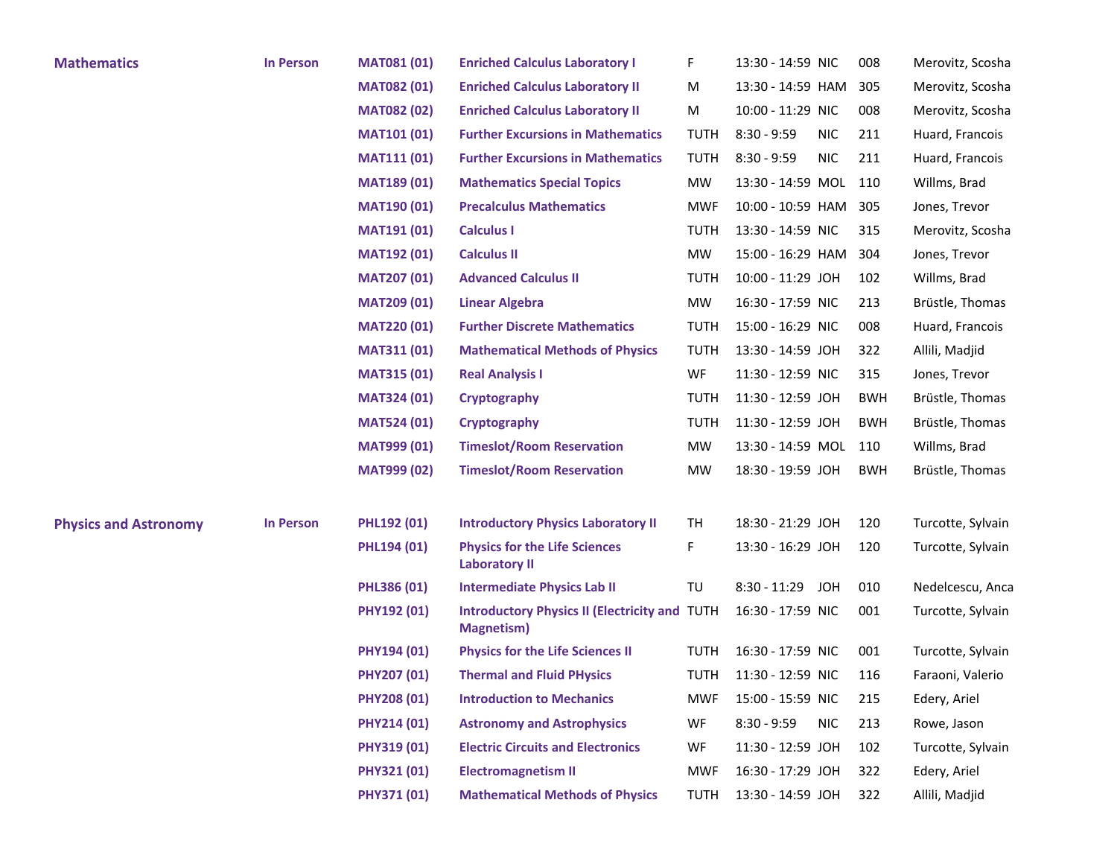| <b>Mathematics</b>           | <b>In Person</b> | <b>MAT081 (01)</b> | <b>Enriched Calculus Laboratory I</b>                                     | F           | 13:30 - 14:59 NIC           | 008        | Merovitz, Scosha  |
|------------------------------|------------------|--------------------|---------------------------------------------------------------------------|-------------|-----------------------------|------------|-------------------|
|                              |                  | <b>MAT082 (01)</b> | <b>Enriched Calculus Laboratory II</b>                                    | M           | 13:30 - 14:59 HAM           | 305        | Merovitz, Scosha  |
|                              |                  | <b>MAT082 (02)</b> | <b>Enriched Calculus Laboratory II</b>                                    | M           | 10:00 - 11:29 NIC           | 008        | Merovitz, Scosha  |
|                              |                  | <b>MAT101 (01)</b> | <b>Further Excursions in Mathematics</b>                                  | <b>TUTH</b> | $8:30 - 9:59$<br><b>NIC</b> | 211        | Huard, Francois   |
|                              |                  | <b>MAT111 (01)</b> | <b>Further Excursions in Mathematics</b>                                  | <b>TUTH</b> | $8:30 - 9:59$<br><b>NIC</b> | 211        | Huard, Francois   |
|                              |                  | <b>MAT189 (01)</b> | <b>Mathematics Special Topics</b>                                         | MW          | 13:30 - 14:59 MOL           | 110        | Willms, Brad      |
|                              |                  | <b>MAT190 (01)</b> | <b>Precalculus Mathematics</b>                                            | <b>MWF</b>  | 10:00 - 10:59 HAM           | 305        | Jones, Trevor     |
|                              |                  | <b>MAT191 (01)</b> | <b>Calculus I</b>                                                         | <b>TUTH</b> | 13:30 - 14:59 NIC           | 315        | Merovitz, Scosha  |
|                              |                  | <b>MAT192 (01)</b> | <b>Calculus II</b>                                                        | <b>MW</b>   | 15:00 - 16:29 HAM           | 304        | Jones, Trevor     |
|                              |                  | <b>MAT207 (01)</b> | <b>Advanced Calculus II</b>                                               | <b>TUTH</b> | 10:00 - 11:29 JOH           | 102        | Willms, Brad      |
|                              |                  | <b>MAT209 (01)</b> | <b>Linear Algebra</b>                                                     | MW          | 16:30 - 17:59 NIC           | 213        | Brüstle, Thomas   |
|                              |                  | <b>MAT220 (01)</b> | <b>Further Discrete Mathematics</b>                                       | <b>TUTH</b> | 15:00 - 16:29 NIC           | 008        | Huard, Francois   |
|                              |                  | <b>MAT311 (01)</b> | <b>Mathematical Methods of Physics</b>                                    | <b>TUTH</b> | 13:30 - 14:59 JOH           | 322        | Allili, Madjid    |
|                              |                  | <b>MAT315 (01)</b> | <b>Real Analysis I</b>                                                    | WF          | 11:30 - 12:59 NIC           | 315        | Jones, Trevor     |
|                              |                  | <b>MAT324 (01)</b> | <b>Cryptography</b>                                                       | <b>TUTH</b> | 11:30 - 12:59 JOH           | <b>BWH</b> | Brüstle, Thomas   |
|                              |                  | <b>MAT524 (01)</b> | <b>Cryptography</b>                                                       | <b>TUTH</b> | 11:30 - 12:59 JOH           | <b>BWH</b> | Brüstle, Thomas   |
|                              |                  | <b>MAT999 (01)</b> | <b>Timeslot/Room Reservation</b>                                          | MW          | 13:30 - 14:59 MOL           | 110        | Willms, Brad      |
|                              |                  | <b>MAT999 (02)</b> | <b>Timeslot/Room Reservation</b>                                          | <b>MW</b>   | 18:30 - 19:59 JOH           | <b>BWH</b> | Brüstle, Thomas   |
| <b>Physics and Astronomy</b> | <b>In Person</b> | <b>PHL192 (01)</b> | <b>Introductory Physics Laboratory II</b>                                 | TH          | 18:30 - 21:29 JOH           | 120        | Turcotte, Sylvain |
|                              |                  | PHL194 (01)        | <b>Physics for the Life Sciences</b><br><b>Laboratory II</b>              | F.          | 13:30 - 16:29 JOH           | 120        | Turcotte, Sylvain |
|                              |                  | PHL386 (01)        | <b>Intermediate Physics Lab II</b>                                        | TU          | 8:30 - 11:29<br><b>JOH</b>  | 010        | Nedelcescu, Anca  |
|                              |                  | PHY192 (01)        | <b>Introductory Physics II (Electricity and TUTH</b><br><b>Magnetism)</b> |             | 16:30 - 17:59 NIC           | 001        | Turcotte, Sylvain |
|                              |                  | PHY194 (01)        | <b>Physics for the Life Sciences II</b>                                   | <b>TUTH</b> | 16:30 - 17:59 NIC           | 001        | Turcotte, Sylvain |
|                              |                  | <b>PHY207 (01)</b> | <b>Thermal and Fluid PHysics</b>                                          | <b>TUTH</b> | 11:30 - 12:59 NIC           | 116        | Faraoni, Valerio  |
|                              |                  | <b>PHY208 (01)</b> | <b>Introduction to Mechanics</b>                                          | <b>MWF</b>  | 15:00 - 15:59 NIC           | 215        | Edery, Ariel      |
|                              |                  | PHY214 (01)        | <b>Astronomy and Astrophysics</b>                                         | WF          | <b>NIC</b><br>$8:30 - 9:59$ | 213        | Rowe, Jason       |
|                              |                  | PHY319 (01)        | <b>Electric Circuits and Electronics</b>                                  | WF          | 11:30 - 12:59 JOH           | 102        | Turcotte, Sylvain |
|                              |                  | PHY321 (01)        | <b>Electromagnetism II</b>                                                | <b>MWF</b>  | 16:30 - 17:29 JOH           | 322        | Edery, Ariel      |
|                              |                  | PHY371 (01)        | <b>Mathematical Methods of Physics</b>                                    | <b>TUTH</b> | 13:30 - 14:59 JOH           | 322        | Allili, Madjid    |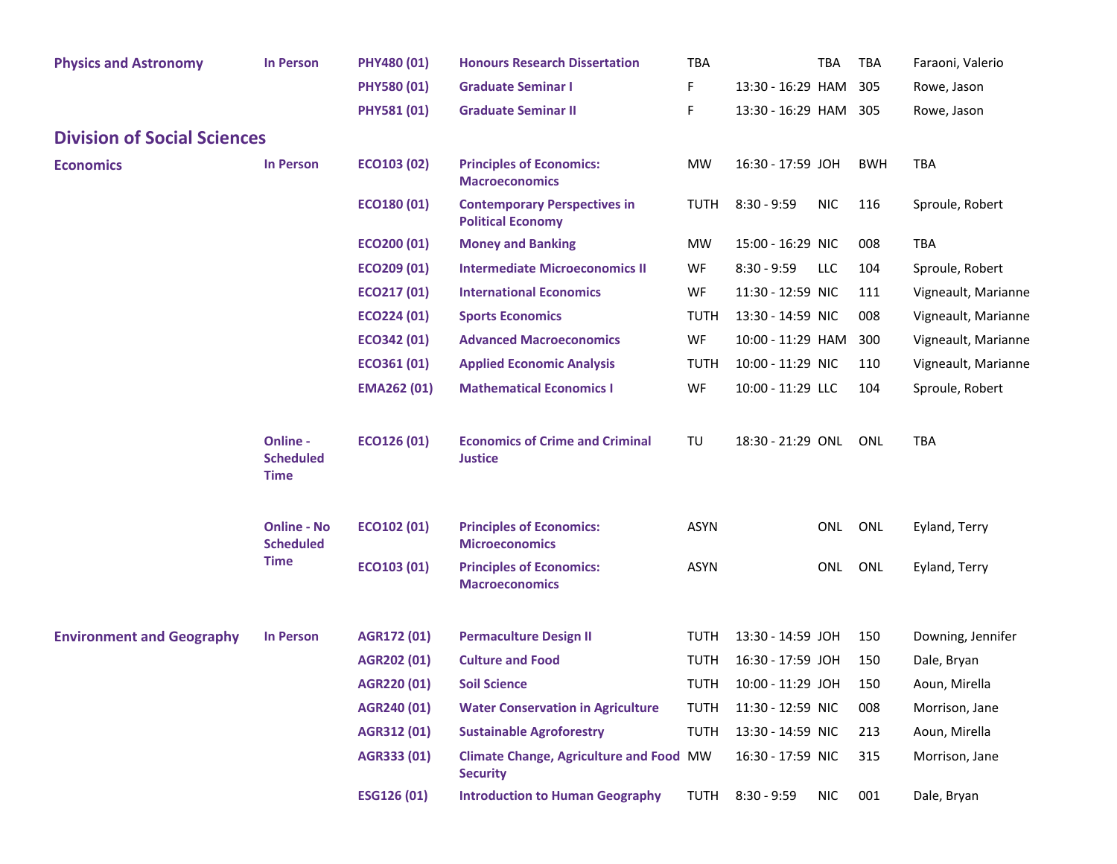| <b>Physics and Astronomy</b>       | <b>In Person</b>                            | PHY480 (01)        | <b>Honours Research Dissertation</b>                              | <b>TBA</b>  |                              | <b>TBA</b> | TBA        | Faraoni, Valerio    |
|------------------------------------|---------------------------------------------|--------------------|-------------------------------------------------------------------|-------------|------------------------------|------------|------------|---------------------|
|                                    |                                             | PHY580 (01)        | <b>Graduate Seminar I</b>                                         | F           | 13:30 - 16:29 HAM            |            | 305        | Rowe, Jason         |
|                                    |                                             | <b>PHY581 (01)</b> | <b>Graduate Seminar II</b>                                        | F           | 13:30 - 16:29 HAM 305        |            |            | Rowe, Jason         |
| <b>Division of Social Sciences</b> |                                             |                    |                                                                   |             |                              |            |            |                     |
| <b>Economics</b>                   | <b>In Person</b>                            | ECO103 (02)        | <b>Principles of Economics:</b><br><b>Macroeconomics</b>          | <b>MW</b>   | 16:30 - 17:59 JOH            |            | <b>BWH</b> | <b>TBA</b>          |
|                                    |                                             | ECO180 (01)        | <b>Contemporary Perspectives in</b><br><b>Political Economy</b>   | TUTH        | $8:30 - 9:59$                | <b>NIC</b> | 116        | Sproule, Robert     |
|                                    |                                             | ECO200 (01)        | <b>Money and Banking</b>                                          | <b>MW</b>   | 15:00 - 16:29 NIC            |            | 008        | <b>TBA</b>          |
|                                    |                                             | ECO209 (01)        | <b>Intermediate Microeconomics II</b>                             | WF          | $8:30 - 9:59$                | LLC        | 104        | Sproule, Robert     |
|                                    |                                             | ECO217 (01)        | <b>International Economics</b>                                    | WF          | 11:30 - 12:59 NIC            |            | 111        | Vigneault, Marianne |
|                                    |                                             | ECO224 (01)        | <b>Sports Economics</b>                                           | <b>TUTH</b> | 13:30 - 14:59 NIC            |            | 008        | Vigneault, Marianne |
|                                    |                                             | ECO342 (01)        | <b>Advanced Macroeconomics</b>                                    | WF          | 10:00 - 11:29 HAM            |            | 300        | Vigneault, Marianne |
|                                    |                                             | ECO361 (01)        | <b>Applied Economic Analysis</b>                                  | <b>TUTH</b> | 10:00 - 11:29 NIC            |            | 110        | Vigneault, Marianne |
|                                    |                                             | <b>EMA262 (01)</b> | <b>Mathematical Economics I</b>                                   | WF          | 10:00 - 11:29 LLC            |            | 104        | Sproule, Robert     |
|                                    | Online -<br><b>Scheduled</b><br><b>Time</b> | ECO126 (01)        | <b>Economics of Crime and Criminal</b><br><b>Justice</b>          | TU          | 18:30 - 21:29 ONL            |            | ONL        | <b>TBA</b>          |
|                                    | <b>Online - No</b><br><b>Scheduled</b>      | ECO102 (01)        | <b>Principles of Economics:</b><br><b>Microeconomics</b>          | <b>ASYN</b> |                              | ONL        | ONL        | Eyland, Terry       |
|                                    | <b>Time</b>                                 | ECO103 (01)        | <b>Principles of Economics:</b><br><b>Macroeconomics</b>          | <b>ASYN</b> |                              | ONL ONL    |            | Eyland, Terry       |
| <b>Environment and Geography</b>   | <b>In Person</b>                            | AGR172 (01)        | <b>Permaculture Design II</b>                                     | <b>TUTH</b> | 13:30 - 14:59 JOH            |            | 150        | Downing, Jennifer   |
|                                    |                                             | AGR202 (01)        | <b>Culture and Food</b>                                           | <b>TUTH</b> | 16:30 - 17:59 JOH            |            | 150        | Dale, Bryan         |
|                                    |                                             | AGR220 (01)        | <b>Soil Science</b>                                               |             | TUTH  10:00 - 11:29 JOH  150 |            |            | Aoun, Mirella       |
|                                    |                                             | AGR240 (01)        | <b>Water Conservation in Agriculture</b>                          | <b>TUTH</b> | 11:30 - 12:59 NIC            |            | 008        | Morrison, Jane      |
|                                    |                                             | AGR312 (01)        | <b>Sustainable Agroforestry</b>                                   | <b>TUTH</b> | 13:30 - 14:59 NIC            |            | 213        | Aoun, Mirella       |
|                                    |                                             | AGR333 (01)        | <b>Climate Change, Agriculture and Food MW</b><br><b>Security</b> |             | 16:30 - 17:59 NIC            |            | 315        | Morrison, Jane      |
|                                    |                                             | <b>ESG126 (01)</b> | <b>Introduction to Human Geography</b>                            | <b>TUTH</b> | $8:30 - 9:59$                | <b>NIC</b> | 001        | Dale, Bryan         |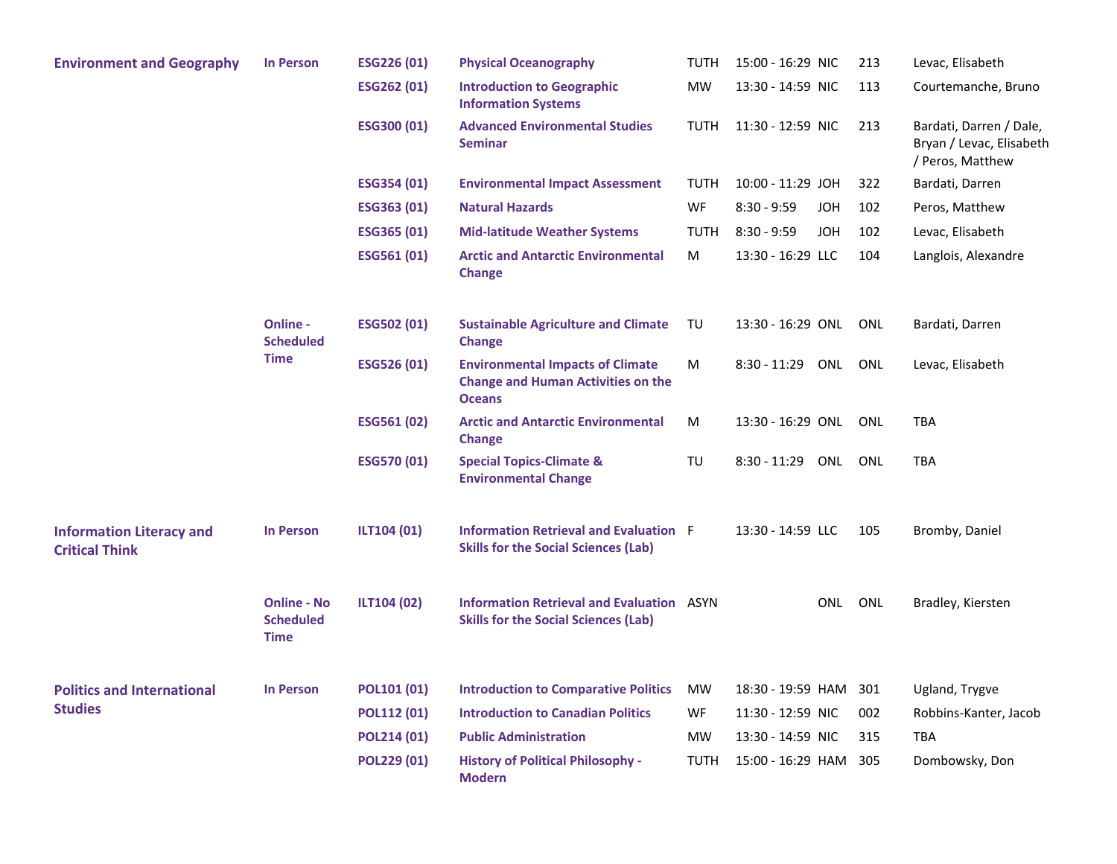| <b>Environment and Geography</b>                         | <b>In Person</b>                               | ESG226 (01)        | <b>Physical Oceanography</b>                                                                          | TUTH        | 15:00 - 16:29 NIC           | 213        | Levac, Elisabeth                                                        |
|----------------------------------------------------------|------------------------------------------------|--------------------|-------------------------------------------------------------------------------------------------------|-------------|-----------------------------|------------|-------------------------------------------------------------------------|
|                                                          |                                                | ESG262 (01)        | <b>Introduction to Geographic</b><br><b>Information Systems</b>                                       | <b>MW</b>   | 13:30 - 14:59 NIC           | 113        | Courtemanche, Bruno                                                     |
|                                                          |                                                | ESG300 (01)        | <b>Advanced Environmental Studies</b><br><b>Seminar</b>                                               | TUTH        | 11:30 - 12:59 NIC           | 213        | Bardati, Darren / Dale,<br>Bryan / Levac, Elisabeth<br>/ Peros, Matthew |
|                                                          |                                                | ESG354 (01)        | <b>Environmental Impact Assessment</b>                                                                | TUTH        | 10:00 - 11:29 JOH           | 322        | Bardati, Darren                                                         |
|                                                          |                                                | ESG363 (01)        | <b>Natural Hazards</b>                                                                                | WF          | $8:30 - 9:59$<br><b>JOH</b> | 102        | Peros, Matthew                                                          |
|                                                          |                                                | ESG365 (01)        | <b>Mid-latitude Weather Systems</b>                                                                   | TUTH        | $8:30 - 9:59$<br><b>HOL</b> | 102        | Levac, Elisabeth                                                        |
|                                                          |                                                | ESG561 (01)        | <b>Arctic and Antarctic Environmental</b><br><b>Change</b>                                            | M           | 13:30 - 16:29 LLC           | 104        | Langlois, Alexandre                                                     |
|                                                          | Online -<br><b>Scheduled</b>                   | ESG502 (01)        | <b>Sustainable Agriculture and Climate</b><br><b>Change</b>                                           | TU          | 13:30 - 16:29 ONL           | ONL        | Bardati, Darren                                                         |
|                                                          | <b>Time</b>                                    | ESG526 (01)        | <b>Environmental Impacts of Climate</b><br><b>Change and Human Activities on the</b><br><b>Oceans</b> | M           | 8:30 - 11:29<br>ONL         | ONL        | Levac, Elisabeth                                                        |
|                                                          |                                                | ESG561 (02)        | <b>Arctic and Antarctic Environmental</b><br><b>Change</b>                                            | M           | 13:30 - 16:29 ONL           | ONL        | <b>TBA</b>                                                              |
|                                                          |                                                | ESG570 (01)        | <b>Special Topics-Climate &amp;</b><br><b>Environmental Change</b>                                    | TU          | 8:30 - 11:29<br>ONL         | <b>ONL</b> | <b>TBA</b>                                                              |
| <b>Information Literacy and</b><br><b>Critical Think</b> | <b>In Person</b>                               | ILT104 (01)        | <b>Information Retrieval and Evaluation F</b><br><b>Skills for the Social Sciences (Lab)</b>          |             | 13:30 - 14:59 LLC           | 105        | Bromby, Daniel                                                          |
|                                                          | <b>Online - No</b><br><b>Scheduled</b><br>Time | ILT104 (02)        | <b>Information Retrieval and Evaluation ASYN</b><br><b>Skills for the Social Sciences (Lab)</b>       |             | ONL                         | ONL        | Bradley, Kiersten                                                       |
| <b>Politics and International</b>                        | <b>In Person</b>                               | POL101 (01)        | <b>Introduction to Comparative Politics</b>                                                           | MW          | 18:30 - 19:59 HAM           | 301        | Ugland, Trygve                                                          |
| <b>Studies</b>                                           |                                                | POL112 (01)        | <b>Introduction to Canadian Politics</b>                                                              | WF.         | 11:30 - 12:59 NIC           | 002        | Robbins-Kanter, Jacob                                                   |
|                                                          |                                                | <b>POL214 (01)</b> | <b>Public Administration</b>                                                                          | <b>MW</b>   | 13:30 - 14:59 NIC           | 315        | <b>TBA</b>                                                              |
|                                                          |                                                | POL229 (01)        | <b>History of Political Philosophy -</b><br><b>Modern</b>                                             | <b>TUTH</b> | 15:00 - 16:29 HAM           | 305        | Dombowsky, Don                                                          |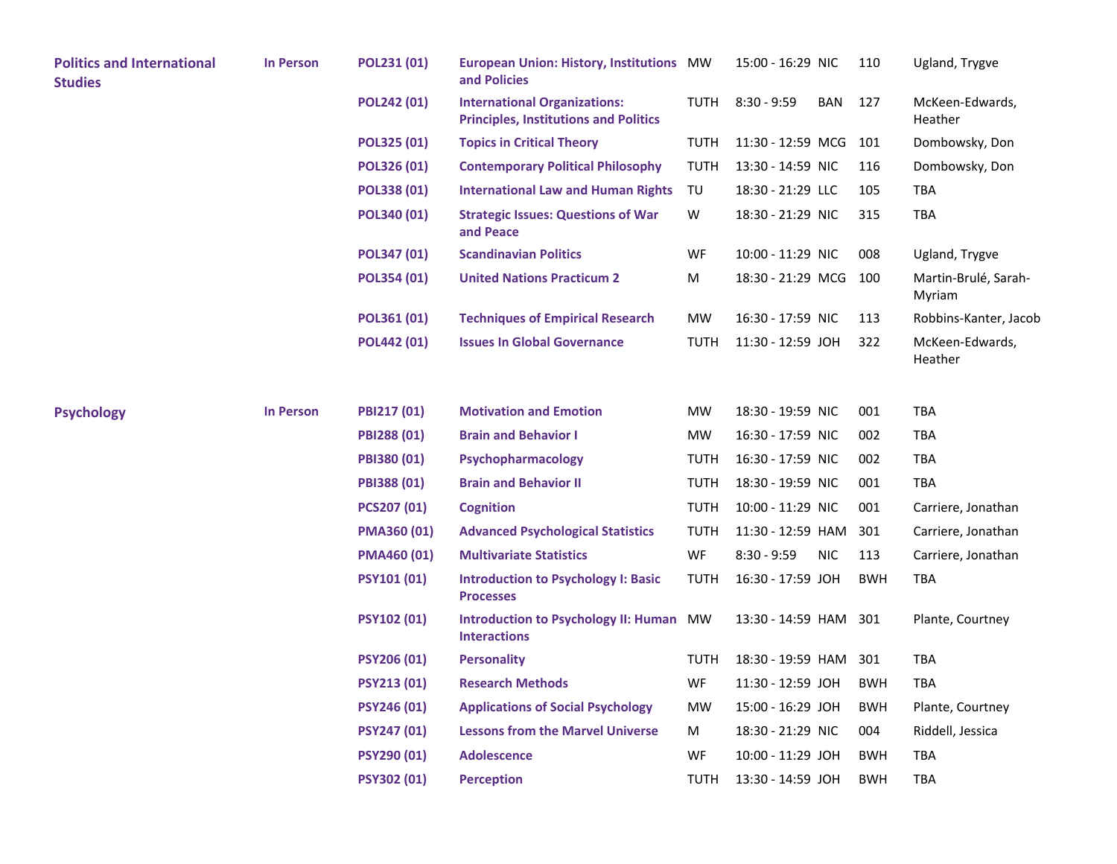| <b>Politics and International</b><br><b>Studies</b> | <b>In Person</b> | POL231 (01)        | <b>European Union: History, Institutions MW</b><br>and Policies                     |             | 15:00 - 16:29 NIC     |            | 110        | Ugland, Trygve                 |
|-----------------------------------------------------|------------------|--------------------|-------------------------------------------------------------------------------------|-------------|-----------------------|------------|------------|--------------------------------|
|                                                     |                  | POL242 (01)        | <b>International Organizations:</b><br><b>Principles, Institutions and Politics</b> | <b>TUTH</b> | $8:30 - 9:59$         | BAN        | 127        | McKeen-Edwards,<br>Heather     |
|                                                     |                  | POL325 (01)        | <b>Topics in Critical Theory</b>                                                    | TUTH        | 11:30 - 12:59 MCG 101 |            |            | Dombowsky, Don                 |
|                                                     |                  | <b>POL326 (01)</b> | <b>Contemporary Political Philosophy</b>                                            | <b>TUTH</b> | 13:30 - 14:59 NIC     |            | 116        | Dombowsky, Don                 |
|                                                     |                  | POL338 (01)        | <b>International Law and Human Rights</b>                                           | TU          | 18:30 - 21:29 LLC     |            | 105        | TBA                            |
|                                                     |                  | POL340 (01)        | <b>Strategic Issues: Questions of War</b><br>and Peace                              | W           | 18:30 - 21:29 NIC     |            | 315        | <b>TBA</b>                     |
|                                                     |                  | POL347 (01)        | <b>Scandinavian Politics</b>                                                        | WF          | 10:00 - 11:29 NIC     |            | 008        | Ugland, Trygve                 |
|                                                     |                  | POL354 (01)        | <b>United Nations Practicum 2</b>                                                   | M           | 18:30 - 21:29 MCG 100 |            |            | Martin-Brulé, Sarah-<br>Myriam |
|                                                     |                  | POL361 (01)        | <b>Techniques of Empirical Research</b>                                             | <b>MW</b>   | 16:30 - 17:59 NIC     |            | 113        | Robbins-Kanter, Jacob          |
|                                                     |                  | POL442 (01)        | <b>Issues In Global Governance</b>                                                  | <b>TUTH</b> | 11:30 - 12:59 JOH     |            | 322        | McKeen-Edwards,<br>Heather     |
| <b>Psychology</b>                                   | <b>In Person</b> | PBI217 (01)        | <b>Motivation and Emotion</b>                                                       | MW          | 18:30 - 19:59 NIC     |            | 001        | <b>TBA</b>                     |
|                                                     |                  | PBI288 (01)        | <b>Brain and Behavior I</b>                                                         | <b>MW</b>   | 16:30 - 17:59 NIC     |            | 002        | TBA                            |
|                                                     |                  | PBI380 (01)        | Psychopharmacology                                                                  | <b>TUTH</b> | 16:30 - 17:59 NIC     |            | 002        | <b>TBA</b>                     |
|                                                     |                  | PBI388 (01)        | <b>Brain and Behavior II</b>                                                        | <b>TUTH</b> | 18:30 - 19:59 NIC     |            | 001        | TBA                            |
|                                                     |                  | PCS207 (01)        | <b>Cognition</b>                                                                    | <b>TUTH</b> | 10:00 - 11:29 NIC     |            | 001        | Carriere, Jonathan             |
|                                                     |                  | <b>PMA360 (01)</b> | <b>Advanced Psychological Statistics</b>                                            | TUTH        | 11:30 - 12:59 HAM     |            | 301        | Carriere, Jonathan             |
|                                                     |                  | <b>PMA460 (01)</b> | <b>Multivariate Statistics</b>                                                      | WF          | $8:30 - 9:59$         | <b>NIC</b> | 113        | Carriere, Jonathan             |
|                                                     |                  | <b>PSY101 (01)</b> | <b>Introduction to Psychology I: Basic</b><br><b>Processes</b>                      | TUTH        | 16:30 - 17:59 JOH     |            | <b>BWH</b> | TBA                            |
|                                                     |                  | <b>PSY102 (01)</b> | Introduction to Psychology II: Human MW<br><b>Interactions</b>                      |             | 13:30 - 14:59 HAM 301 |            |            | Plante, Courtney               |
|                                                     |                  | <b>PSY206 (01)</b> | <b>Personality</b>                                                                  | <b>TUTH</b> | 18:30 - 19:59 HAM 301 |            |            | <b>TBA</b>                     |
|                                                     |                  | PSY213 (01)        | <b>Research Methods</b>                                                             | WF          | 11:30 - 12:59 JOH     |            | <b>BWH</b> | <b>TBA</b>                     |
|                                                     |                  | <b>PSY246 (01)</b> | <b>Applications of Social Psychology</b>                                            | MW          | 15:00 - 16:29 JOH     |            | <b>BWH</b> | Plante, Courtney               |
|                                                     |                  | PSY247 (01)        | <b>Lessons from the Marvel Universe</b>                                             | M           | 18:30 - 21:29 NIC     |            | 004        | Riddell, Jessica               |
|                                                     |                  | PSY290 (01)        | <b>Adolescence</b>                                                                  | WF          | 10:00 - 11:29 JOH     |            | <b>BWH</b> | <b>TBA</b>                     |
|                                                     |                  | <b>PSY302 (01)</b> | <b>Perception</b>                                                                   | TUTH        | 13:30 - 14:59 JOH     |            | <b>BWH</b> | <b>TBA</b>                     |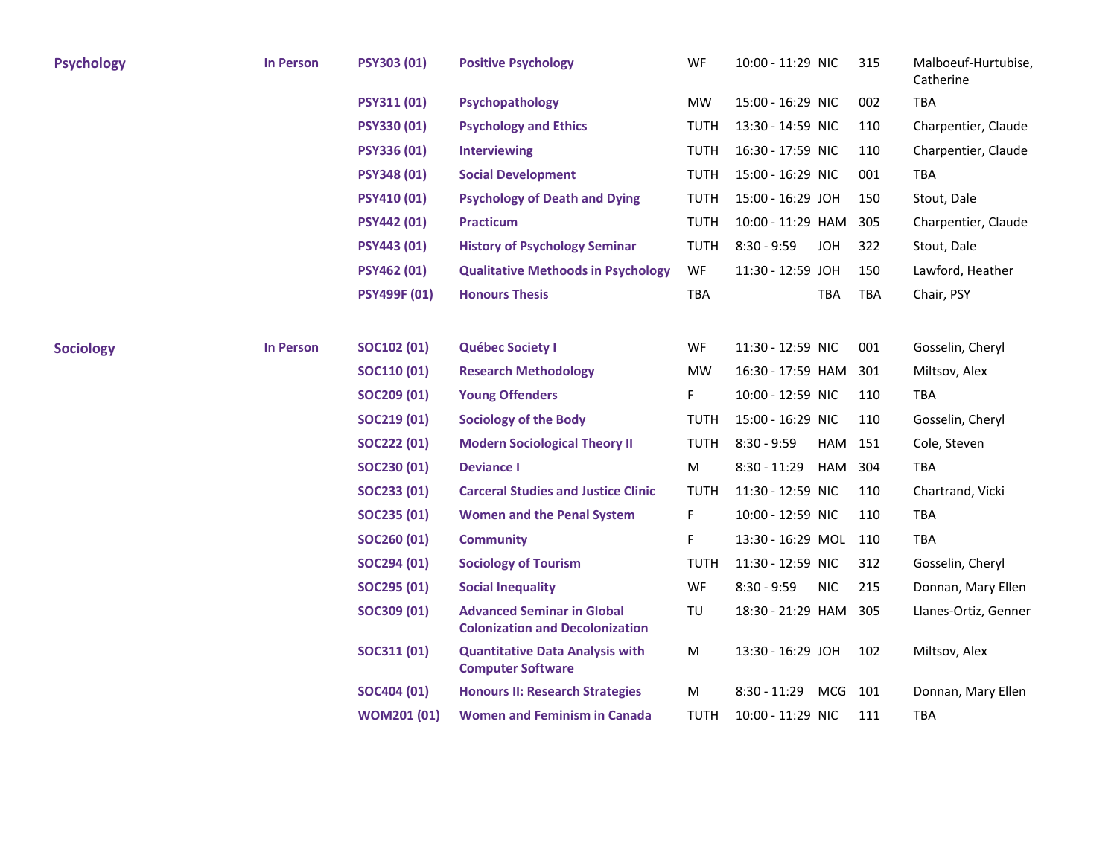| <b>Psychology</b> | <b>In Person</b> | <b>PSY303 (01)</b>  | <b>Positive Psychology</b>                                                  | WF          | 10:00 - 11:29 NIC     |            | 315 | Malboeuf-Hurtubise,<br>Catherine |
|-------------------|------------------|---------------------|-----------------------------------------------------------------------------|-------------|-----------------------|------------|-----|----------------------------------|
|                   |                  | PSY311 (01)         | Psychopathology                                                             | MW          | 15:00 - 16:29 NIC     |            | 002 | TBA                              |
|                   |                  | <b>PSY330 (01)</b>  | <b>Psychology and Ethics</b>                                                | <b>TUTH</b> | 13:30 - 14:59 NIC     |            | 110 | Charpentier, Claude              |
|                   |                  | <b>PSY336 (01)</b>  | <b>Interviewing</b>                                                         | <b>TUTH</b> | 16:30 - 17:59 NIC     |            | 110 | Charpentier, Claude              |
|                   |                  | <b>PSY348 (01)</b>  | <b>Social Development</b>                                                   | <b>TUTH</b> | 15:00 - 16:29 NIC     |            | 001 | <b>TBA</b>                       |
|                   |                  | <b>PSY410 (01)</b>  | <b>Psychology of Death and Dying</b>                                        | <b>TUTH</b> | 15:00 - 16:29 JOH     |            | 150 | Stout, Dale                      |
|                   |                  | <b>PSY442 (01)</b>  | <b>Practicum</b>                                                            | <b>TUTH</b> | 10:00 - 11:29 HAM     |            | 305 | Charpentier, Claude              |
|                   |                  | <b>PSY443 (01)</b>  | <b>History of Psychology Seminar</b>                                        | <b>TUTH</b> | $8:30 - 9:59$         | <b>JOH</b> | 322 | Stout, Dale                      |
|                   |                  | <b>PSY462 (01)</b>  | <b>Qualitative Methoods in Psychology</b>                                   | WF          | 11:30 - 12:59 JOH     |            | 150 | Lawford, Heather                 |
|                   |                  | <b>PSY499F (01)</b> | <b>Honours Thesis</b>                                                       | TBA         |                       | TBA        | TBA | Chair, PSY                       |
|                   |                  |                     |                                                                             |             |                       |            |     |                                  |
| <b>Sociology</b>  | <b>In Person</b> | <b>SOC102 (01)</b>  | <b>Québec Society I</b>                                                     | WF          | 11:30 - 12:59 NIC     |            | 001 | Gosselin, Cheryl                 |
|                   |                  | <b>SOC110 (01)</b>  | <b>Research Methodology</b>                                                 | MW          | 16:30 - 17:59 HAM     |            | 301 | Miltsov, Alex                    |
|                   |                  | SOC209 (01)         | <b>Young Offenders</b>                                                      | F.          | 10:00 - 12:59 NIC     |            | 110 | <b>TBA</b>                       |
|                   |                  | SOC219 (01)         | <b>Sociology of the Body</b>                                                | TUTH        | 15:00 - 16:29 NIC     |            | 110 | Gosselin, Cheryl                 |
|                   |                  | SOC222 (01)         | <b>Modern Sociological Theory II</b>                                        | <b>TUTH</b> | $8:30 - 9:59$         | HAM 151    |     | Cole, Steven                     |
|                   |                  | SOC230 (01)         | <b>Deviance I</b>                                                           | M           | $8:30 - 11:29$        | HAM        | 304 | <b>TBA</b>                       |
|                   |                  | SOC233 (01)         | <b>Carceral Studies and Justice Clinic</b>                                  | <b>TUTH</b> | 11:30 - 12:59 NIC     |            | 110 | Chartrand, Vicki                 |
|                   |                  | SOC235 (01)         | <b>Women and the Penal System</b>                                           | F.          | 10:00 - 12:59 NIC     |            | 110 | <b>TBA</b>                       |
|                   |                  | SOC260 (01)         | <b>Community</b>                                                            | F           | 13:30 - 16:29 MOL 110 |            |     | TBA                              |
|                   |                  | SOC294 (01)         | <b>Sociology of Tourism</b>                                                 | TUTH        | 11:30 - 12:59 NIC     |            | 312 | Gosselin, Cheryl                 |
|                   |                  | SOC295 (01)         | <b>Social Inequality</b>                                                    | WF          | $8:30 - 9:59$         | <b>NIC</b> | 215 | Donnan, Mary Ellen               |
|                   |                  | SOC309 (01)         | <b>Advanced Seminar in Global</b><br><b>Colonization and Decolonization</b> | TU          | 18:30 - 21:29 HAM     |            | 305 | Llanes-Ortiz, Genner             |
|                   |                  | SOC311 (01)         | <b>Quantitative Data Analysis with</b><br><b>Computer Software</b>          | M           | 13:30 - 16:29 JOH     |            | 102 | Miltsov, Alex                    |
|                   |                  | SOC404 (01)         | <b>Honours II: Research Strategies</b>                                      | М           | $8:30 - 11:29$        | MCG        | 101 | Donnan, Mary Ellen               |
|                   |                  | <b>WOM201 (01)</b>  | <b>Women and Feminism in Canada</b>                                         | TUTH        | 10:00 - 11:29 NIC     |            | 111 | <b>TBA</b>                       |